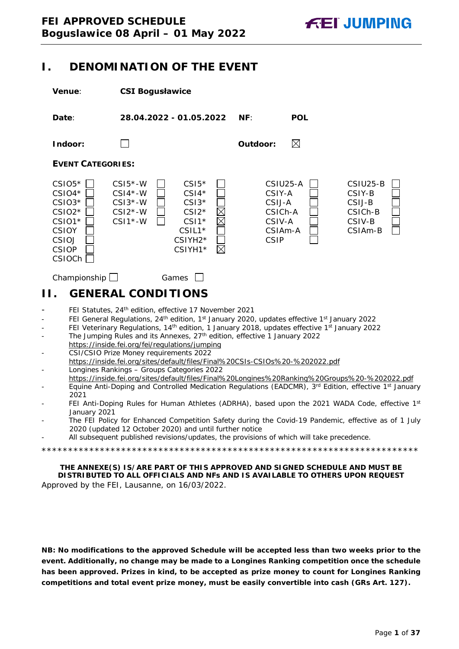## <span id="page-0-0"></span>**I. DENOMINATION OF THE EVENT**

| Venue:                                                                                                                                        | <b>CSI Bogusławice</b>                                                                                                                                                                                                                                                                                                                                                                                                                                                                                                                                                                                                                                                                                                                                                                                                                                                                                                                                                                                                                                                                                                                                                                                                      |                                                                             |                                                              |
|-----------------------------------------------------------------------------------------------------------------------------------------------|-----------------------------------------------------------------------------------------------------------------------------------------------------------------------------------------------------------------------------------------------------------------------------------------------------------------------------------------------------------------------------------------------------------------------------------------------------------------------------------------------------------------------------------------------------------------------------------------------------------------------------------------------------------------------------------------------------------------------------------------------------------------------------------------------------------------------------------------------------------------------------------------------------------------------------------------------------------------------------------------------------------------------------------------------------------------------------------------------------------------------------------------------------------------------------------------------------------------------------|-----------------------------------------------------------------------------|--------------------------------------------------------------|
| Date:                                                                                                                                         | 28.04.2022 - 01.05.2022                                                                                                                                                                                                                                                                                                                                                                                                                                                                                                                                                                                                                                                                                                                                                                                                                                                                                                                                                                                                                                                                                                                                                                                                     | NF:<br><b>POL</b>                                                           |                                                              |
| Indoor:                                                                                                                                       |                                                                                                                                                                                                                                                                                                                                                                                                                                                                                                                                                                                                                                                                                                                                                                                                                                                                                                                                                                                                                                                                                                                                                                                                                             | $\boxtimes$<br>Outdoor:                                                     |                                                              |
| <b>EVENT CATEGORIES:</b>                                                                                                                      |                                                                                                                                                                                                                                                                                                                                                                                                                                                                                                                                                                                                                                                                                                                                                                                                                                                                                                                                                                                                                                                                                                                                                                                                                             |                                                                             |                                                              |
| $CSIO5*$<br>$CSIO4*$<br>$CSIO3*$<br>$CSIO2*$<br>$CSIO1*$<br><b>CSIOY</b><br>CSIOJ<br><b>CSIOP</b><br>CSIOCh <sup>[</sup>                      | $CSI5*-W$<br>$CSI5*$<br>$CSI4*$<br>$CSI4*-W$<br>$CSI3*-W$<br>$CSI3*$<br>$\times$<br>$CSI2*$<br>$CSI2*-W$<br>$CSI1*-W$<br>$CSI*$<br>$CSIL1*$<br>CSIYH2*<br>$\boxtimes$<br>CSIYH1 <sup>*</sup>                                                                                                                                                                                                                                                                                                                                                                                                                                                                                                                                                                                                                                                                                                                                                                                                                                                                                                                                                                                                                                | CSIU25-A<br>CSIY-A<br>CSIJ-A<br>CSICh-A<br>CSIV-A<br>CSIAm-A<br><b>CSIP</b> | CSIU25-B<br>CSIY-B<br>CSIJ-B<br>CSICh-B<br>CSIV-B<br>CSIAm-B |
| Championship $\Box$                                                                                                                           | Games                                                                                                                                                                                                                                                                                                                                                                                                                                                                                                                                                                                                                                                                                                                                                                                                                                                                                                                                                                                                                                                                                                                                                                                                                       |                                                                             |                                                              |
| Н.                                                                                                                                            | <b>GENERAL CONDITIONS</b>                                                                                                                                                                                                                                                                                                                                                                                                                                                                                                                                                                                                                                                                                                                                                                                                                                                                                                                                                                                                                                                                                                                                                                                                   |                                                                             |                                                              |
| $\overline{\phantom{0}}$<br>$\overline{\phantom{m}}$<br>$\qquad \qquad \blacksquare$<br>$\overline{\phantom{0}}$<br>2021<br>-<br>January 2021 | FEI Statutes, 24 <sup>th</sup> edition, effective 17 November 2021<br>FEI General Regulations, 24 <sup>th</sup> edition, 1 <sup>st</sup> January 2020, updates effective 1 <sup>st</sup> January 2022<br>FEI Veterinary Regulations, 14 <sup>th</sup> edition, 1 January 2018, updates effective 1 <sup>st</sup> January 2022<br>The Jumping Rules and its Annexes, 27 <sup>th</sup> edition, effective 1 January 2022<br>https://inside.fei.org/fei/regulations/jumping<br>CSI/CSIO Prize Money requirements 2022<br>https://inside.fei.org/sites/default/files/Final%20CSIs-CSI0s%20-%202022.pdf<br>Longines Rankings - Groups Categories 2022<br>https://inside.fei.org/sites/default/files/Final%20Longines%20Ranking%20Groups%20-%202022.pdf<br>Equine Anti-Doping and Controlled Medication Regulations (EADCMR), 3rd Edition, effective 1st January<br>FEI Anti-Doping Rules for Human Athletes (ADRHA), based upon the 2021 WADA Code, effective 1st<br>The FEI Policy for Enhanced Competition Safety during the Covid-19 Pandemic, effective as of 1 July<br>2020 (updated 12 October 2020) and until further notice<br>All subsequent published revisions/updates, the provisions of which will take precedence. |                                                                             |                                                              |
|                                                                                                                                               | THE ANNEXE(S) IS/ARE PART OF THIS APPROVED AND SIGNED SCHEDULE AND MUST BE<br>DISTRIBUTED TO ALL OFFICIALS AND NFs AND IS AVAILABLE TO OTHERS UPON REQUEST                                                                                                                                                                                                                                                                                                                                                                                                                                                                                                                                                                                                                                                                                                                                                                                                                                                                                                                                                                                                                                                                  |                                                                             |                                                              |

<span id="page-0-1"></span>Approved by the FEI, Lausanne, on 16/03/2022.

**NB: No modifications to the approved Schedule will be accepted less than two weeks prior to the event. Additionally, no change may be made to a Longines Ranking competition once the schedule has been approved. Prizes in kind, to be accepted as prize money to count for Longines Ranking competitions and total event prize money, must be easily convertible into cash (GRs Art. 127).**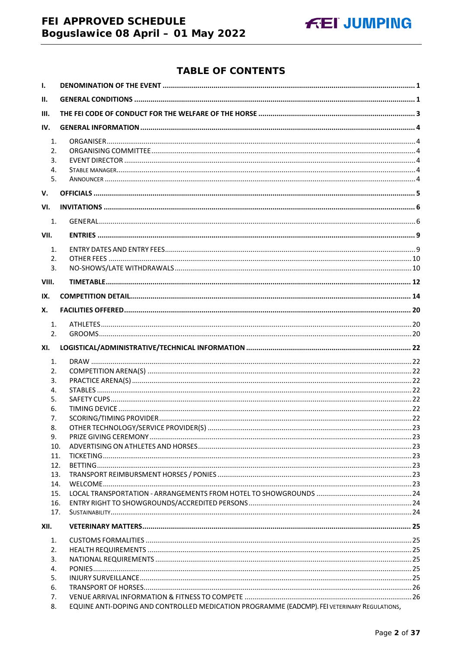## FEI APPROVED SCHEDULE Boguslawice 08 April - 01 May 2022



## **TABLE OF CONTENTS**

| Ι.                         |                                                                                              |  |  |
|----------------------------|----------------------------------------------------------------------------------------------|--|--|
| II.                        |                                                                                              |  |  |
| III.                       |                                                                                              |  |  |
| IV.                        |                                                                                              |  |  |
| 1.<br>2.<br>3.<br>4.<br>5. |                                                                                              |  |  |
| V.                         |                                                                                              |  |  |
| VI.                        |                                                                                              |  |  |
| 1.                         |                                                                                              |  |  |
| VII.                       |                                                                                              |  |  |
| 1.                         |                                                                                              |  |  |
| 2.                         |                                                                                              |  |  |
| $\overline{3}$ .           |                                                                                              |  |  |
| VIII.                      |                                                                                              |  |  |
| IX.                        |                                                                                              |  |  |
| Х.                         |                                                                                              |  |  |
| 1.                         |                                                                                              |  |  |
| 2.                         |                                                                                              |  |  |
| XI.                        |                                                                                              |  |  |
| 1.                         |                                                                                              |  |  |
| 2.                         |                                                                                              |  |  |
| 3.                         |                                                                                              |  |  |
| 4.                         |                                                                                              |  |  |
| 5.<br>6.                   |                                                                                              |  |  |
| 7.                         |                                                                                              |  |  |
| 8.                         |                                                                                              |  |  |
| 9.                         |                                                                                              |  |  |
| 10.                        |                                                                                              |  |  |
| 11.                        |                                                                                              |  |  |
| 12.                        |                                                                                              |  |  |
| 13.                        |                                                                                              |  |  |
| 14.                        |                                                                                              |  |  |
| 15.                        |                                                                                              |  |  |
| 16.<br>17.                 |                                                                                              |  |  |
| XII.                       |                                                                                              |  |  |
|                            |                                                                                              |  |  |
| 1.<br>2.                   |                                                                                              |  |  |
| 3.                         |                                                                                              |  |  |
| 4.                         |                                                                                              |  |  |
| 5.                         |                                                                                              |  |  |
| 6.                         |                                                                                              |  |  |
| 7.                         |                                                                                              |  |  |
| 8.                         | EQUINE ANTI-DOPING AND CONTROLLED MEDICATION PROGRAMME (EADCMP). FEI VETERINARY REGULATIONS, |  |  |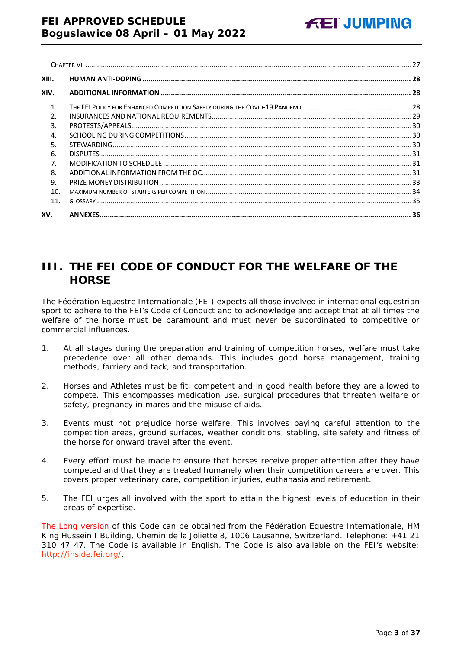| XIII.          |  |
|----------------|--|
| XIV.           |  |
| $\mathbf{1}$   |  |
| $\mathcal{L}$  |  |
| 3.             |  |
| 4.             |  |
| .5.            |  |
| 6.             |  |
| 7 <sub>1</sub> |  |
| 8.             |  |
| 9.             |  |
| 10.            |  |
| 11.            |  |
| XV.            |  |

## <span id="page-2-0"></span>**III. THE FEI CODE OF CONDUCT FOR THE WELFARE OF THE HORSE**

The Fédération Equestre Internationale (FEI) expects all those involved in international equestrian sport to adhere to the FEI's Code of Conduct and to acknowledge and accept that at all times the welfare of the horse must be paramount and must never be subordinated to competitive or commercial influences.

- 1. At all stages during the preparation and training of competition horses, welfare must take precedence over all other demands. This includes good horse management, training methods, farriery and tack, and transportation.
- 2. Horses and Athletes must be fit, competent and in good health before they are allowed to compete. This encompasses medication use, surgical procedures that threaten welfare or safety, pregnancy in mares and the misuse of aids.
- 3. Events must not prejudice horse welfare. This involves paying careful attention to the competition areas, ground surfaces, weather conditions, stabling, site safety and fitness of the horse for onward travel after the event.
- 4. Every effort must be made to ensure that horses receive proper attention after they have competed and that they are treated humanely when their competition careers are over. This covers proper veterinary care, competition injuries, euthanasia and retirement.
- 5. The FEI urges all involved with the sport to attain the highest levels of education in their areas of expertise.

The Long version of this Code can be obtained from the Fédération Equestre Internationale, HM King Hussein I Building, Chemin de la Joliette 8, 1006 Lausanne, Switzerland. Telephone: +41 21 310 47 47. The Code is available in English. The Code is also available on the FEI's website: [http://inside.fei.org/.](http://inside.fei.org/)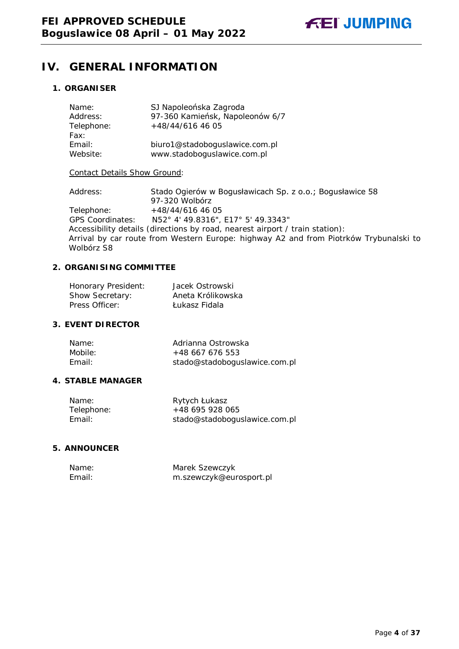## <span id="page-3-0"></span>**IV. GENERAL INFORMATION**

### <span id="page-3-1"></span>**1. ORGANISER**

| Name:<br>Address:<br>Telephone:<br>Fax: | SJ Napoleońska Zagroda<br>97-360 Kamieńsk, Napoleonów 6/7<br>+48/44/616 46 05 |
|-----------------------------------------|-------------------------------------------------------------------------------|
| Email:                                  | biuro1@stadoboguslawice.com.pl                                                |
| Website:                                | www.stadoboguslawice.com.pl                                                   |

#### Contact Details Show Ground:

Address: Stado Ogierów w Bogusławicach Sp. z o.o.; Bogusławice 58 97-320 Wolbórz Telephone: +48/44/616 46 05 GPS Coordinates: N52° 4' 49.8316", E17° 5' 49.3343" Accessibility details (directions by road, nearest airport / train station): Arrival by car route from Western Europe: highway A2 and from Piotrków Trybunalski to Wolbórz S8

### <span id="page-3-2"></span>**2. ORGANISING COMMITTEE**

| Honorary President: | Jacek Ostrowski   |
|---------------------|-------------------|
| Show Secretary:     | Aneta Królikowska |
| Press Officer:      | Łukasz Fidala     |

#### <span id="page-3-3"></span>**3. EVENT DIRECTOR**

| Name:   | Adrianna Ostrowska            |
|---------|-------------------------------|
| Mobile: | $+48667676553$                |
| Email:  | stado@stadoboguslawice.com.pl |

#### <span id="page-3-4"></span>**4. STABLE MANAGER**

| Name:      | Rytych Łukasz                 |
|------------|-------------------------------|
| Telephone: | +48 695 928 065               |
| Email:     | stado@stadoboguslawice.com.pl |

#### <span id="page-3-5"></span>**5. ANNOUNCER**

| Name:  | Marek Szewczyk          |
|--------|-------------------------|
| Email: | m.szewczyk@eurosport.pl |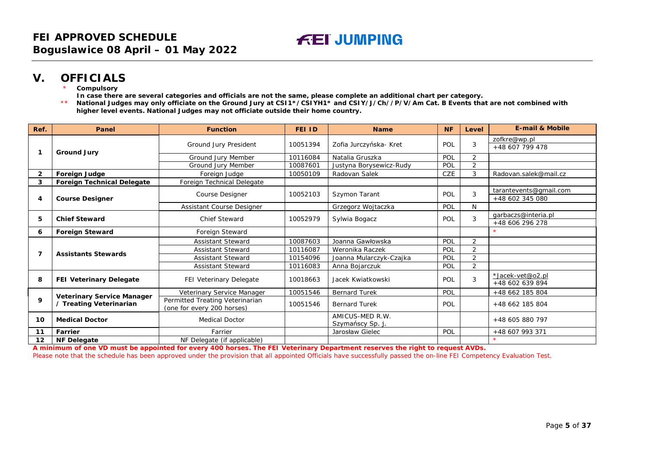## **V. OFFICIALS**

- **Compulsory**
- **In case there are several categories and officials are not the same, please complete an additional chart per category.**
- \*\* **National Judges may only officiate on the Ground Jury at CSI1\*/CSIYH1\* and CSIY/J/Ch//P/V/Am Cat. B Events that are not combined with higher level events. National Judges may not officiate outside their home country.**

| Ref.    | Panel                                                        | <b>Function</b>                 | FEI ID   | <b>Name</b>             | <b>NF</b>  | Level           | <b>E-mail &amp; Mobile</b> |
|---------|--------------------------------------------------------------|---------------------------------|----------|-------------------------|------------|-----------------|----------------------------|
|         |                                                              | Ground Jury President           |          | Zofia Jurczyńska- Kret  |            |                 | zofkre@wp.pl               |
|         | <b>Ground Jury</b>                                           |                                 | 10051394 |                         | POL        | 3               | +48 607 799 478            |
|         |                                                              | Ground Jury Member              | 10116084 | Natalia Gruszka         | POL        | $\overline{2}$  |                            |
|         |                                                              | Ground Jury Member              | 10087601 | Justyna Borysewicz-Rudy | POL        | $\overline{2}$  |                            |
| 2       | <b>Foreign Judge</b>                                         | Foreign Judge                   | 10050109 | Radovan Salek           | <b>CZE</b> | 3               | Radovan.salek@mail.cz      |
| 3       | <b>Foreign Technical Delegate</b>                            | Foreign Technical Delegate      |          |                         |            |                 |                            |
|         |                                                              |                                 | 10052103 |                         | POL        | 3               | tarantevents@gmail.com     |
| 4       | <b>Course Designer</b>                                       | Course Designer                 |          | Szymon Tarant           |            |                 | +48 602 345 080            |
|         |                                                              | Assistant Course Designer       |          | Grzegorz Wojtaczka      | POL        | N               |                            |
| 5       | <b>Chief Steward</b>                                         | <b>Chief Steward</b>            | 10052979 | Sylwia Bogacz           | POL        | 3               | qarbaczs@interia.pl        |
|         |                                                              |                                 |          |                         |            |                 | +48 606 296 278            |
| 6       | <b>Foreign Steward</b>                                       | Foreign Steward                 |          |                         |            |                 |                            |
|         |                                                              | <b>Assistant Steward</b>        | 10087603 | Joanna Gawłowska        | POL        | 2               |                            |
| 7       | <b>Assistants Stewards</b>                                   | <b>Assistant Steward</b>        | 10116087 | Weronika Raczek         | POL        | $\overline{2}$  |                            |
|         |                                                              | <b>Assistant Steward</b>        | 10154096 | Joanna Mularczyk-Czajka | POL        | $\overline{2}$  |                            |
|         |                                                              | <b>Assistant Steward</b>        | 10116083 | Anna Bojarczuk          | POL        | $\overline{2}$  |                            |
| 8       |                                                              |                                 | 10018663 | Jacek Kwiatkowski       | POL        | 3               | *Jacek-vet@o2.pl           |
|         | FEI Veterinary Delegate                                      | FEI Veterinary Delegate         |          |                         |            | +48 602 639 894 |                            |
|         |                                                              | Veterinary Service Manager      | 10051546 | <b>Bernard Turek</b>    | POL        |                 | +48 662 185 804            |
| 9       | <b>Veterinary Service Manager</b><br>/ Treating Veterinarian | Permitted Treating Veterinarian | 10051546 | <b>Bernard Turek</b>    | POL        |                 | +48 662 185 804            |
|         |                                                              | (one for every 200 horses)      |          |                         |            |                 |                            |
| 10      | <b>Medical Doctor</b>                                        | <b>Medical Doctor</b>           |          | AMICUS-MED R.W.         |            |                 | +48 605 880 797            |
|         |                                                              |                                 |          | Szymańscy Sp. j         |            |                 |                            |
| 11      | Farrier                                                      | Farrier                         |          | Jarosław Gielec         | POL        |                 | +48 607 993 371            |
| $12 \,$ | NF Delegate                                                  | NF Delegate (if applicable)     |          |                         |            |                 |                            |

<span id="page-4-0"></span>**A minimum of one VD must be appointed for every 400 horses. The FEI Veterinary Department reserves the right to request AVDs.**

Please note that the schedule has been approved under the provision that all appointed Officials have successfully passed the on-line FEI Competency Evaluation Test.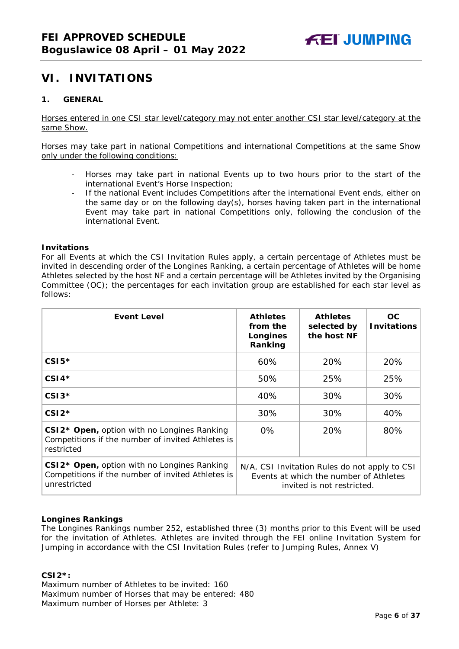## <span id="page-5-0"></span>**VI. INVITATIONS**

#### <span id="page-5-1"></span>**1. GENERAL**

Horses entered in one CSI star level/category may not enter another CSI star level/category at the same Show.

Horses may take part in national Competitions and international Competitions at the same Show only under the following conditions:

- Horses may take part in national Events up to two hours prior to the start of the international Event's Horse Inspection;
- If the national Event includes Competitions after the international Event ends, either on the same day or on the following day(s), horses having taken part in the international Event may take part in national Competitions only, following the conclusion of the international Event.

#### **Invitations**

For all Events at which the CSI Invitation Rules apply, a certain percentage of Athletes must be invited in descending order of the Longines Ranking, a certain percentage of Athletes will be home Athletes selected by the host NF and a certain percentage will be Athletes invited by the Organising Committee (OC); the percentages for each invitation group are established for each star level as follows:

| <b>Event Level</b>                                                                                                           | <b>Athletes</b><br>from the<br>Longines<br>Ranking | <b>Athletes</b><br>selected by<br>the host NF                                                                         | OC.<br><b>Invitations</b> |
|------------------------------------------------------------------------------------------------------------------------------|----------------------------------------------------|-----------------------------------------------------------------------------------------------------------------------|---------------------------|
| $CSI5*$                                                                                                                      | 60%                                                | 20%                                                                                                                   | 20%                       |
| $CSI4*$                                                                                                                      | 50%                                                | 25%                                                                                                                   | 25%                       |
| $CSI3*$                                                                                                                      | 40%                                                | 30%                                                                                                                   | 30%                       |
| $CSI2*$                                                                                                                      | 30%                                                | 30%                                                                                                                   | 40%                       |
| CSI2* Open, option with no Longines Ranking<br>Competitions if the number of invited Athletes is<br>restricted               | $0\%$                                              | 20%                                                                                                                   | 80%                       |
| CSI2 <sup>*</sup> Open, option with no Longines Ranking<br>Competitions if the number of invited Athletes is<br>unrestricted |                                                    | N/A, CSI Invitation Rules do not apply to CSI<br>Events at which the number of Athletes<br>invited is not restricted. |                           |

#### **Longines Rankings**

The Longines Rankings number 252, established three (3) months prior to this Event will be used for the invitation of Athletes. Athletes are invited through the FEI online Invitation System for Jumping in accordance with the CSI Invitation Rules (refer to Jumping Rules, Annex V)

#### **CSI2\*:**

Maximum number of Athletes to be invited: 160 Maximum number of Horses that may be entered: 480 Maximum number of Horses per Athlete: 3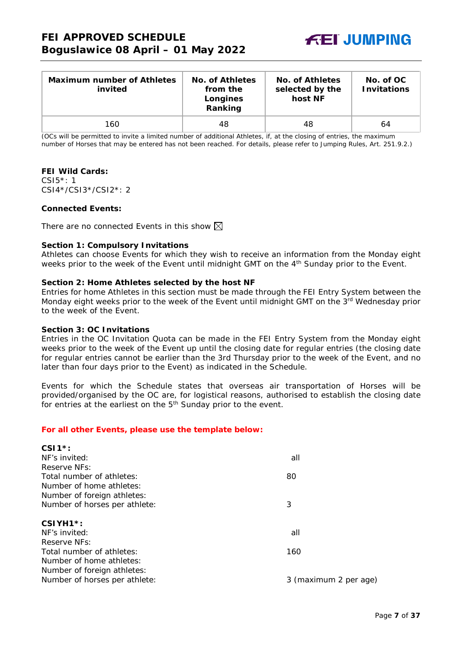

| <b>Maximum number of Athletes</b><br>invited | No. of Athletes<br>from the<br>Longines<br>Ranking | No. of Athletes<br>selected by the<br>host NF | No. of OC<br><b>Invitations</b> |
|----------------------------------------------|----------------------------------------------------|-----------------------------------------------|---------------------------------|
| 160                                          | 48                                                 | 48                                            | 64                              |

(OCs will be permitted to invite a limited number of additional Athletes, if, at the closing of entries, the maximum number of Horses that may be entered has not been reached. For details, please refer to Jumping Rules, Art. 251.9.2.)

#### **FEI Wild Cards:**

CSI5\*: 1 CSI4\*/CSI3\*/CSI2\*: 2

#### **Connected Events:**

There are no connected Events in this show  $\boxtimes$ 

#### **Section 1: Compulsory Invitations**

Athletes can choose Events for which they wish to receive an information from the Monday eight weeks prior to the week of the Event until midnight GMT on the 4<sup>th</sup> Sunday prior to the Event.

#### **Section 2: Home Athletes selected by the host NF**

Entries for home Athletes in this section must be made through the FEI Entry System between the Monday eight weeks prior to the week of the Event until midnight GMT on the 3<sup>rd</sup> Wednesday prior to the week of the Event.

#### **Section 3: OC Invitations**

Entries in the OC Invitation Quota can be made in the FEI Entry System from the Monday eight weeks prior to the week of the Event up until the closing date for regular entries (the closing date for regular entries cannot be earlier than the 3rd Thursday prior to the week of the Event, and no later than four days prior to the Event) as indicated in the Schedule.

Events for which the Schedule states that overseas air transportation of Horses will be provided/organised by the OC are, for logistical reasons, authorised to establish the closing date for entries at the earliest on the  $5<sup>th</sup>$  Sunday prior to the event.

#### *For all other Events, please use the template below:*

| all                   |
|-----------------------|
|                       |
| 80                    |
|                       |
|                       |
| 3                     |
|                       |
|                       |
| all                   |
|                       |
| 160                   |
|                       |
|                       |
| 3 (maximum 2 per age) |
|                       |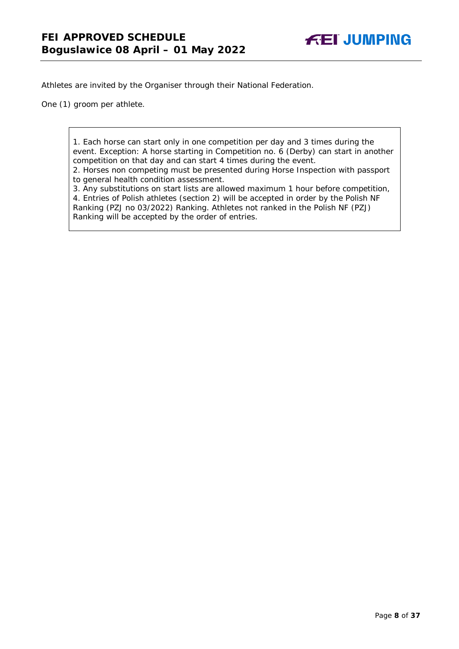Athletes are invited by the Organiser through their National Federation.

One (1) groom per athlete.

1. Each horse can start only in one competition per day and 3 times during the event. Exception: A horse starting in Competition no. 6 (Derby) can start in another competition on that day and can start 4 times during the event.

2. Horses non competing must be presented during Horse Inspection with passport to general health condition assessment.

3. Any substitutions on start lists are allowed maximum 1 hour before competition, 4. Entries of Polish athletes (section 2) will be accepted in order by the Polish NF Ranking (PZJ no 03/2022) Ranking. Athletes not ranked in the Polish NF (PZJ) Ranking will be accepted by the order of entries.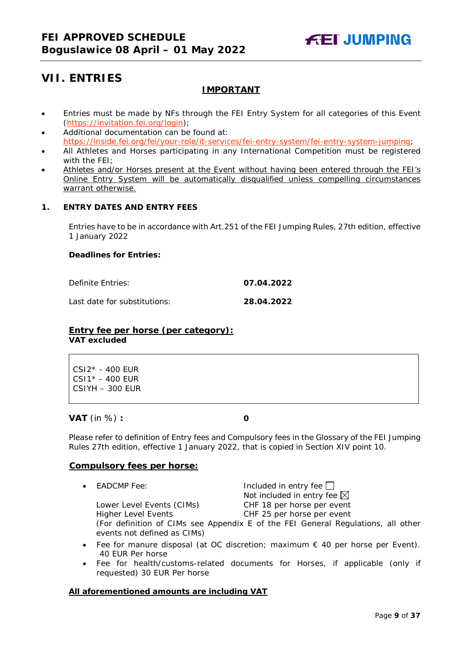## <span id="page-8-0"></span>**VII. ENTRIES**

## **IMPORTANT**

- Entries must be made by NFs through the FEI Entry System for all categories of this Event [\(https://invitation.fei.org/login\)](https://invitation.fei.org/login);
- Additional documentation can be found at: [https://inside.fei.org/fei/your-role/it-services/fei-entry-system/fei-entry-system-jumping;](https://inside.fei.org/fei/your-role/it-services/fei-entry-system/fei-entry-system-jumping)
- All Athletes and Horses participating in any International Competition must be registered with the FEI;
- Athletes and/or Horses present at the Event without having been entered through the FEI's Online Entry System will be automatically disqualified unless compelling circumstances warrant otherwise.

### <span id="page-8-1"></span>**1. ENTRY DATES AND ENTRY FEES**

Entries have to be in accordance with Art.251 of the FEI Jumping Rules, 27th edition, effective 1 January 2022

#### **Deadlines for Entries:**

Definite Entries: **07.04.2022**

Last date for substitutions: **28.04.2022**

#### **Entry fee per horse** *(per category):* **VAT excluded**

CSI2\* - 400 EUR CSI1\* - 400 EUR CSIYH – 300 EUR

**VAT** (in %) **: 0**

Please refer to definition of Entry fees and Compulsory fees in the Glossary of the FEI Jumping Rules 27th edition, effective 1 January 2022, that is copied in Section XIV point 10.

#### **Compulsory fees per horse:**

• EADCMP Fee: Included in entry fee Not included in entry fee  $\boxtimes$ Lower Level Events (CIMs) CHF 18 per horse per event

Higher Level Events CHF 25 per horse per event (For definition of CIMs see Appendix E of the FEI General Regulations, all other events not defined as CIMs)

- Fee for manure disposal (at OC discretion; maximum  $\epsilon$  40 per horse per Event). 40 EUR Per horse
- Fee for health/customs-related documents for Horses, if applicable (only if requested) 30 EUR Per horse

#### **All aforementioned amounts are including VAT**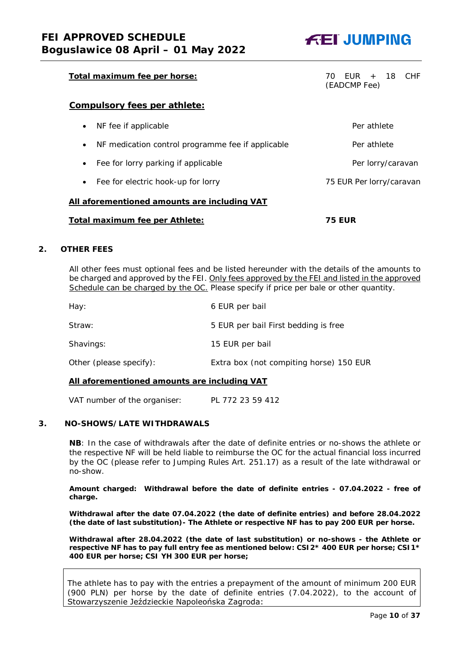## Total maximum fee per horse: Total maximum fee per horse: Total maximum fee per horse: Total maximum of the set

## **Compulsory fees per athlete:**

| Total maximum fee per Athlete:                                 | 75 EUR                   |
|----------------------------------------------------------------|--------------------------|
| All aforementioned amounts are including VAT                   |                          |
| Fee for electric hook-up for lorry<br>$\bullet$                | 75 EUR Per lorry/caravan |
| Fee for lorry parking if applicable<br>$\bullet$               | Per lorry/caravan        |
| NF medication control programme fee if applicable<br>$\bullet$ | Per athlete              |
| NF fee if applicable<br>$\bullet$                              | Per athlete              |
|                                                                |                          |

#### <span id="page-9-0"></span>**2. OTHER FEES**

All other fees must optional fees and be listed hereunder with the details of the amounts to be charged and approved by the FEI. Only fees approved by the FEI and listed in the approved Schedule can be charged by the OC. *Please specify if price per bale or other quantity.*

| Hay:                    | 6 EUR per bail                          |
|-------------------------|-----------------------------------------|
| Straw:                  | 5 EUR per bail First bedding is free    |
| Shavings:               | 15 EUR per bail                         |
| Other (please specify): | Extra box (not compiting horse) 150 EUR |

#### **All aforementioned amounts are including VAT**

VAT number of the organiser: PL 772 23 59 412

#### <span id="page-9-1"></span>**3. NO-SHOWS/LATE WITHDRAWALS**

**NB**: In the case of withdrawals after the date of definite entries or no-shows the athlete or the respective NF will be held liable to reimburse the OC for the actual financial loss incurred by the OC (please refer to Jumping Rules Art. 251.17) as a result of the late withdrawal or no-show.

**Amount charged: Withdrawal before the date of definite entries - 07.04.2022 - free of charge.** 

**Withdrawal after the date 07.04.2022 (the date of definite entries) and before 28.04.2022 (the date of last substitution)- The Athlete or respective NF has to pay 200 EUR per horse.** 

**Withdrawal after 28.04.2022 (the date of last substitution) or no-shows - the Athlete or respective NF has to pay full entry fee as mentioned below: CSI2\* 400 EUR per horse; CSI1\* 400 EUR per horse; CSI YH 300 EUR per horse;** 

The athlete has to pay with the entries a prepayment of the amount of minimum 200 EUR (900 PLN) per horse by the date of definite entries (7.04.2022), to the account of Stowarzyszenie Jeździeckie Napoleońska Zagroda:



(EADCMP Fee)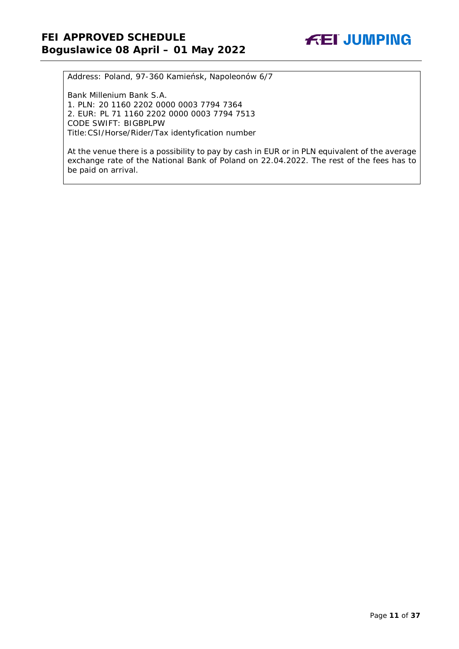Address: Poland, 97-360 Kamieńsk, Napoleonów 6/7

Bank Millenium Bank S.A. 1. PLN: 20 1160 2202 0000 0003 7794 7364 2. EUR: PL 71 1160 2202 0000 0003 7794 7513 CODE SWIFT: BIGBPLPW Title:CSI/Horse/Rider/Tax identyfication number

At the venue there is a possibility to pay by cash in EUR or in PLN equivalent of the average exchange rate of the National Bank of Poland on 22.04.2022. The rest of the fees has to be paid on arrival.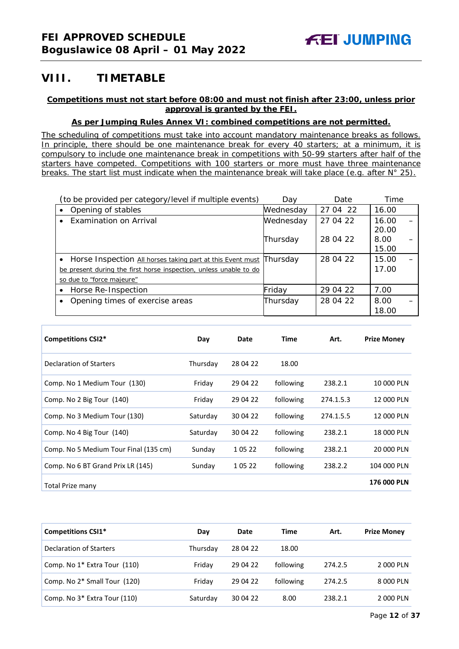## <span id="page-11-0"></span>**VIII. TIMETABLE**

#### **Competitions must not start before 08:00 and must not finish after 23:00, unless prior approval is granted by the FEI.**

#### **As per Jumping Rules Annex VI: combined competitions are not permitted.**

*The scheduling of competitions must take into account mandatory maintenance breaks as follows. In principle, there should be one maintenance break for every 40 starters; at a minimum, it is compulsory to include one maintenance break in competitions with 50-99 starters after half of the starters have competed. Competitions with 100 starters or more must have three maintenance breaks. The start list must indicate when the maintenance break will take place (e.g. after N° 25).*

|           | (to be provided per category/level if multiple events)            | Dav       | Date     | Time           |  |
|-----------|-------------------------------------------------------------------|-----------|----------|----------------|--|
| $\bullet$ | Opening of stables                                                | Wednesday | 27 04 22 | 16.00          |  |
| $\bullet$ | Examination on Arrival                                            | Wednesday | 27 04 22 | 16.00<br>20.00 |  |
|           |                                                                   | Thursday  | 28 04 22 | 8.00<br>15.00  |  |
|           | • Horse Inspection All horses taking part at this Event must      | Thursday  | 28 04 22 | 15.00          |  |
|           | be present during the first horse inspection, unless unable to do |           |          | 17.00          |  |
|           | so due to "force majeure"                                         |           |          |                |  |
| $\bullet$ | Horse Re-Inspection                                               | Friday    | 29 04 22 | 7.00           |  |
|           | Opening times of exercise areas                                   | Thursday  | 28 04 22 | 8.00<br>18.00  |  |

| <b>Competitions CSI2*</b>             | Day      | Date     | Time      | Art.      | <b>Prize Money</b> |
|---------------------------------------|----------|----------|-----------|-----------|--------------------|
| Declaration of Starters               | Thursday | 28 04 22 | 18.00     |           |                    |
| Comp. No 1 Medium Tour (130)          | Friday   | 29 04 22 | following | 238.2.1   | 10 000 PLN         |
| Comp. No 2 Big Tour (140)             | Friday   | 29 04 22 | following | 274.1.5.3 | 12 000 PLN         |
| Comp. No 3 Medium Tour (130)          | Saturday | 30 04 22 | following | 274.1.5.5 | 12 000 PLN         |
| Comp. No 4 Big Tour (140)             | Saturday | 30 04 22 | following | 238.2.1   | 18 000 PLN         |
| Comp. No 5 Medium Tour Final (135 cm) | Sunday   | 1 05 22  | following | 238.2.1   | 20 000 PLN         |
| Comp. No 6 BT Grand Prix LR (145)     | Sunday   | 1 05 22  | following | 238.2.2   | 104 000 PLN        |
| Total Prize many                      |          |          |           |           | <b>176 000 PLN</b> |

| <b>Competitions CSI1*</b>                | Day      | Date     | Time      | Art.    | <b>Prize Money</b> |
|------------------------------------------|----------|----------|-----------|---------|--------------------|
| Declaration of Starters                  | Thursday | 28 04 22 | 18.00     |         |                    |
| Comp. No 1 <sup>*</sup> Extra Tour (110) | Friday   | 29 04 22 | following | 274.2.5 | 2 000 PLN          |
| Comp. No 2* Small Tour (120)             | Friday   | 29 04 22 | following | 274.2.5 | 8 000 PLN          |
| Comp. No 3* Extra Tour (110)             | Saturday | 30 04 22 | 8.00      | 238.2.1 | 2000 PLN           |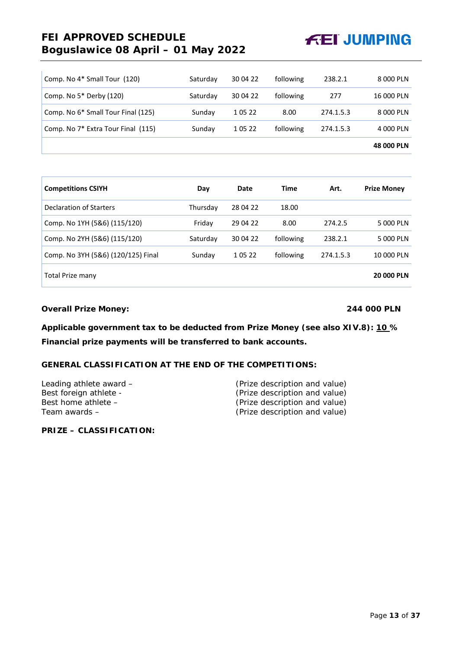## **FEI APPROVED SCHEDULE Boguslawice 08 April – 01 May 2022**



| Comp. No 4* Small Tour (120)       | Saturday | 30 04 22 | following | 238.2.1   | 8 000 PLN         |
|------------------------------------|----------|----------|-----------|-----------|-------------------|
| Comp. No 5* Derby (120)            | Saturday | 30 04 22 | following | 277       | 16 000 PLN        |
| Comp. No 6* Small Tour Final (125) | Sunday   | 1 05 22  | 8.00      | 274.1.5.3 | 8 000 PLN         |
| Comp. No 7* Extra Tour Final (115) | Sunday   | 1 05 22  | following | 274.1.5.3 | 4 000 PLN         |
|                                    |          |          |           |           | <b>48 000 PLN</b> |

| <b>Competitions CSIYH</b>          | Day      | Date     | Time      | Art.      | <b>Prize Money</b> |
|------------------------------------|----------|----------|-----------|-----------|--------------------|
| Declaration of Starters            | Thursdav | 28 04 22 | 18.00     |           |                    |
| Comp. No 1YH (5&6) (115/120)       | Friday   | 29 04 22 | 8.00      | 274.2.5   | 5 000 PLN          |
| Comp. No 2YH (5&6) (115/120)       | Saturday | 30 04 22 | following | 238.2.1   | 5 000 PLN          |
| Comp. No 3YH (5&6) (120/125) Final | Sunday   | 1 05 22  | following | 274.1.5.3 | 10 000 PLN         |
| Total Prize many                   |          |          |           |           | <b>20 000 PLN</b>  |

**Overall Prize Money: 244 000 PLN**

**Applicable government tax to be deducted from Prize Money (see also XIV.8): 10 % Financial prize payments will be transferred to bank accounts.**

### **GENERAL CLASSIFICATION AT THE END OF THE COMPETITIONS:**

| Leading athlete award – | (Prize description and value) |
|-------------------------|-------------------------------|
| Best foreign athlete -  | (Prize description and value) |
| Best home athlete $-$   | (Prize description and value) |
| Team awards –           | (Prize description and value) |
|                         |                               |

**PRIZE – CLASSIFICATION:**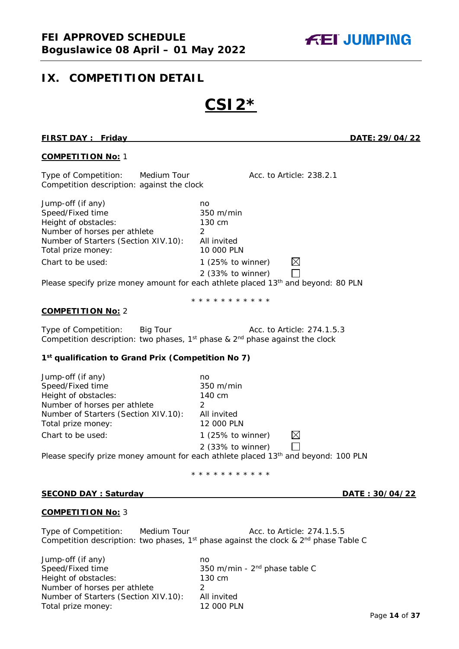## <span id="page-13-0"></span>**IX. COMPETITION DETAIL**

# **CSI2\***

#### **FIRST DAY : Friday DATE: 29/04/22**

#### **COMPETITION No:** 1

Type of Competition: Medium Tour Acc. to Article: 238.2.1 Competition description: against the clock

Jump-off (if any) no Speed/Fixed time 350 m/min Height of obstacles: 130 cm Number of horses per athlete 2<br>Number of Starters (Section XIV.10): All invited Number of Starters (Section XIV.10): All invited<br>Total prize monev: 10 000 PLN Total prize money: Chart to be used: 1 (25% to winner)  $\boxtimes$ 2 (33% to winner)  $\Box$ 

Please specify prize money amount for each athlete placed  $13<sup>th</sup>$  and beyond: 80 PLN

\* \* \* \* \* \* \* \* \* \* \*

#### **COMPETITION No:** 2

| Type of Competition: | Big Tour | Acc. to Article: 274.1.5.3                                                             |
|----------------------|----------|----------------------------------------------------------------------------------------|
|                      |          | Competition description: two phases, $1^{st}$ phase & $2^{nd}$ phase against the clock |

#### **1st qualification to Grand Prix (Competition No 7)**

| Jump-off (if any)                    | no                                                                                             |
|--------------------------------------|------------------------------------------------------------------------------------------------|
| Speed/Fixed time                     | 350 m/min                                                                                      |
| Height of obstacles:                 | 140 cm                                                                                         |
| Number of horses per athlete         |                                                                                                |
| Number of Starters (Section XIV.10): | All invited                                                                                    |
| Total prize money:                   | 12 000 PLN                                                                                     |
| Chart to be used:                    | M<br>1 (25% to winner)                                                                         |
|                                      | 2 (33% to winner)                                                                              |
|                                      | Please specify prize money amount for each athlete placed 13 <sup>th</sup> and beyond: 100 PLN |

#### \* \* \* \* \* \* \* \* \* \*

#### **SECOND DAY : Saturday DATE : 30/04/22**

#### **COMPETITION No:** 3

Type of Competition: Medium Tour Tour Acc. to Article: 274.1.5.5 Competition description: two phases, 1<sup>st</sup> phase against the clock &  $2<sup>nd</sup>$  phase Table C

Jump-off (if any) no Speed/Fixed time 350 m/min - 2<sup>nd</sup> phase table C Height of obstacles: 130 cm Number of horses per athlete 2<br>Number of Starters (Section XIV.10): All invited Number of Starters (Section XIV.10): Total prize money: 12 000 PLN

**FEI JUMPING**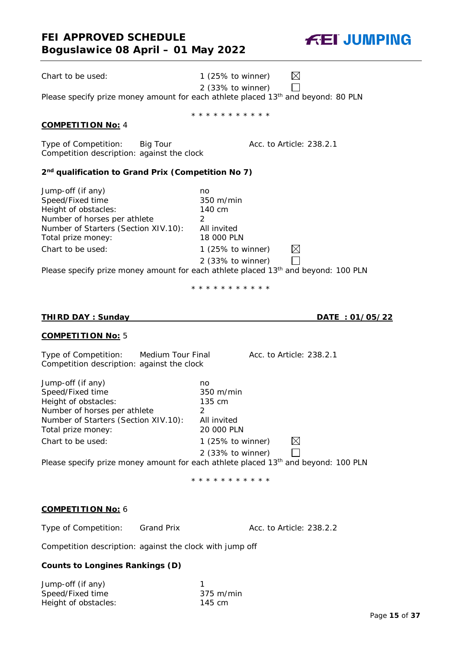## **FEI APPROVED SCHEDULE Boguslawice 08 April – 01 May 2022**

Please specify prize money amount for each athlete placed 13<sup>th</sup> and beyond: 80 PLN \* \* \* \* \* \* \* \* \* \* \* Type of Competition: Big Tour **Acc. to Article: 238.2.1 2nd qualification to Grand Prix (Competition No 7)** Jump-off (if any) no Speed/Fixed time 350 m/min Height of obstacles: 140 cm Number of horses per athlete 2 Number of Starters (Section XIV.10): All invited Total prize money: 18 000 PLN Chart to be used: 1 (25% to winner)  $\boxtimes$ 2 (33% to winner)  $\perp$ Please specify prize money amount for each athlete placed 13<sup>th</sup> and beyond: 100 PLN \* \* \* \* \* \* \* \* \* \* \* **THIRD DAY : Sunday DATE : 01/05/22 COMPETITION No:** 5 Type of Competition: Medium Tour Final Acc. to Article: 238.2.1 Competition description: against the clock Jump-off (if any) no<br>Speed/Fixed time no and 350 m/min Speed/Fixed time Height of obstacles: 135 cm Number of horses per athlete 2 Number of Starters (Section XIV.10): All invited Total prize money: 20 000 PLN

Please specify prize money amount for each athlete placed 13<sup>th</sup> and beyond: 100 PLN

\* \* \* \* \* \* \* \* \* \* \*

2 (33% to winner)

 $\boxtimes$  $\Box$ 

## **COMPETITION No:** 6

Type of Competition: Grand Prix Acc. to Article: 238.2.2

Competition description: against the clock with jump off

Chart to be used: 1 (25% to winner)

## **Counts to Longines Rankings (D)**

| Jump-off (if any)    |                     |
|----------------------|---------------------|
| Speed/Fixed time     | $375 \text{ m/min}$ |
| Height of obstacles: | $145 \text{ cm}$    |

### **COMPETITION No:** 4

Competition description: against the clock

 $\boxtimes$ Chart to be used: 1 (25% to winner)

2 (33% to winner)

**FEI JUMPING** 

 $\Box$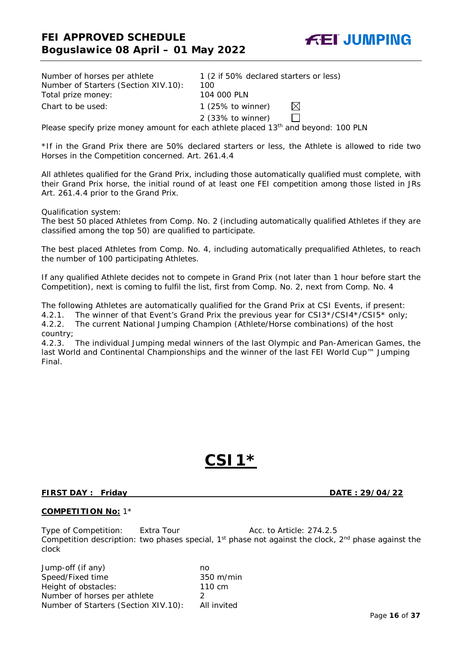**FEI JUMPING** 

| Number of horses per athlete         | 1 (2 if 50% declared starters or less)       |  |  |  |
|--------------------------------------|----------------------------------------------|--|--|--|
| Number of Starters (Section XIV.10): | 100                                          |  |  |  |
| Total prize money:                   | 104 000 PLN                                  |  |  |  |
| Chart to be used:                    | 1 $(25\% \text{ to winner})$<br>IXI          |  |  |  |
|                                      | $2$ (33% to winner)                          |  |  |  |
|                                      | المطلسات المتحدث والمتحدث والمتحدث والمستحدث |  |  |  |

Please specify prize money amount for each athlete placed  $13<sup>th</sup>$  and beyond: 100 PLN

\*If in the Grand Prix there are 50% declared starters or less, the Athlete is allowed to ride two Horses in the Competition concerned. Art. 261.4.4

All athletes qualified for the Grand Prix, including those automatically qualified must complete, with their Grand Prix horse, the initial round of at least one FEI competition among those listed in JRs Art. 261.4.4 prior to the Grand Prix.

Qualification system:

The best 50 placed Athletes from Comp. No. 2 (including automatically qualified Athletes if they are classified among the top 50) are qualified to participate.

The best placed Athletes from Comp. No. 4, including automatically prequalified Athletes, to reach the number of 100 participating Athletes.

If any qualified Athlete decides not to compete in Grand Prix (not later than 1 hour before start the Competition), next is coming to fulfil the list, first from Comp. No. 2, next from Comp. No. 4

The following Athletes are automatically qualified for the Grand Prix at CSI Events, if present:

4.2.1. The winner of that Event's Grand Prix the previous year for CSI3\*/CSI4\*/CSI5\* only;<br>4.2.2. The current National Jumping Champion (Athlete/Horse combinations) of the host The current National Jumping Champion (Athlete/Horse combinations) of the host

country;

4.2.3. The individual Jumping medal winners of the last Olympic and Pan-American Games, the last World and Continental Championships and the winner of the last FEI World Cup™ Jumping Final.

## **CSI1\***

#### **FIRST DAY : Friday DATE : 29/04/22**

#### **COMPETITION No:** 1\*

Type of Competition: Extra Tour Acc. to Article: 274.2.5 Competition description: two phases special, 1<sup>st</sup> phase not against the clock, 2<sup>nd</sup> phase against the clock

Jump-off (if any) no Speed/Fixed time 350 m/min Height of obstacles: 110 cm Number of horses per athlete 2 Number of Starters (Section XIV.10): All invited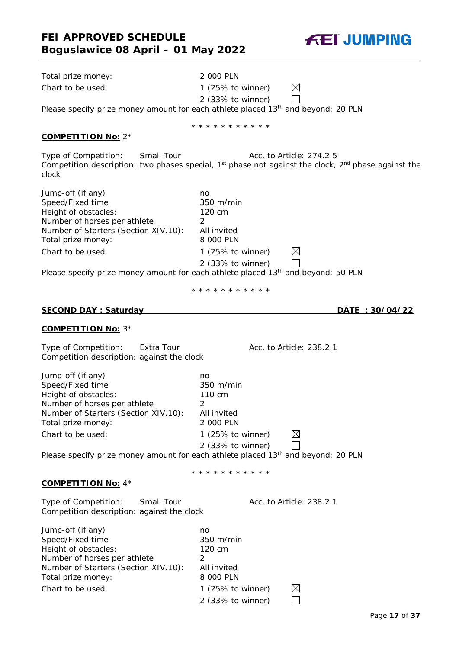

| Total prize money:                                                                                                                                                               | 2 000 PLN                                                                                                                           |
|----------------------------------------------------------------------------------------------------------------------------------------------------------------------------------|-------------------------------------------------------------------------------------------------------------------------------------|
| Chart to be used:                                                                                                                                                                | $\boxtimes$<br>1 $(25\% \text{ to winner})$                                                                                         |
|                                                                                                                                                                                  | 2 (33% to winner)                                                                                                                   |
|                                                                                                                                                                                  | Please specify prize money amount for each athlete placed 13 <sup>th</sup> and beyond: 20 PLN                                       |
|                                                                                                                                                                                  | * * * * * * * * * * *                                                                                                               |
| <b>COMPETITION No: 2*</b>                                                                                                                                                        |                                                                                                                                     |
| Type of Competition:<br>Small Tour<br>clock                                                                                                                                      | Acc. to Article: 274.2.5<br>Competition description: two phases special, $1st$ phase not against the clock, $2nd$ phase against the |
| Jump-off (if any)<br>Speed/Fixed time<br>Height of obstacles:<br>Number of horses per athlete<br>Number of Starters (Section XIV.10):<br>Total prize money:<br>Chart to be used: | no<br>350 m/min<br>120 cm<br>2<br>All invited<br>8 000 PLN<br>$\boxtimes$<br>1 $(25\% \text{ to winner})$                           |
|                                                                                                                                                                                  | 2 (33% to winner)<br>Please specify prize money amount for each athlete placed 13 <sup>th</sup> and beyond: 50 PLN                  |
|                                                                                                                                                                                  |                                                                                                                                     |
|                                                                                                                                                                                  | * * * * * * * * * * *                                                                                                               |
| <b>SECOND DAY: Saturday</b>                                                                                                                                                      | <u>DATE: 30/04/22</u>                                                                                                               |
| <b>COMPETITION No: 3*</b>                                                                                                                                                        |                                                                                                                                     |
| Type of Competition:<br>Extra Tour<br>Competition description: against the clock                                                                                                 | Acc. to Article: 238.2.1                                                                                                            |
| Jump-off (if any)<br>Speed/Fixed time<br>Height of obstacles:<br>Number of horses per athlete<br>Number of Starters (Section XIV.10):<br>Total prize money:<br>Chart to be used: | no<br>350 m/min<br>110 cm<br>$\overline{2}$<br>All invited<br>2 000 PLN<br>1 $(25\% \text{ to winner})$<br>$\boxtimes$              |
|                                                                                                                                                                                  | 2 (33% to winner)<br>Please specify prize money amount for each athlete placed 13 <sup>th</sup> and beyond: 20 PLN                  |
|                                                                                                                                                                                  |                                                                                                                                     |
| <b>COMPETITION No: 4*</b>                                                                                                                                                        | * * * * * * * * * * *                                                                                                               |
| Type of Competition:<br>Small Tour<br>Competition description: against the clock                                                                                                 | Acc. to Article: 238.2.1                                                                                                            |
| Jump-off (if any)<br>Speed/Fixed time<br>Height of obstacles:<br>Number of horses per athlete<br>Number of Starters (Section XIV.10):<br>Total prize money:                      | no<br>350 m/min<br>120 cm<br>2<br>All invited<br>8 000 PLN                                                                          |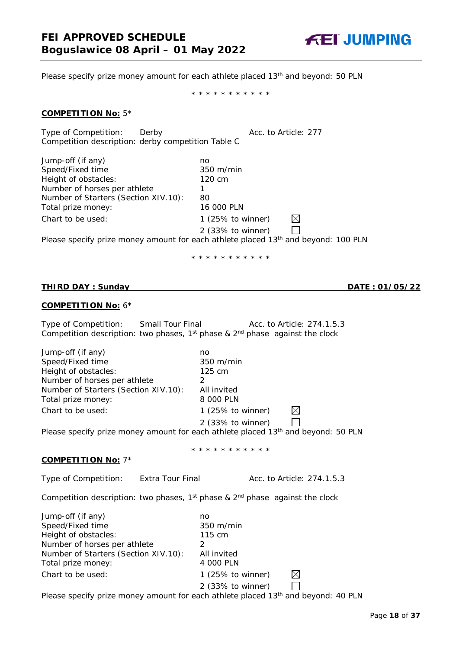

Please specify prize money amount for each athlete placed 13<sup>th</sup> and beyond: 50 PLN

\* \* \* \* \* \* \* \* \* \* \*

#### **COMPETITION No:** 5\*

Type of Competition: Derby **Acc.** to Article: 277 Competition description: derby competition Table C

| Jump-off (if any)                                                                              | no                  |     |  |
|------------------------------------------------------------------------------------------------|---------------------|-----|--|
| Speed/Fixed time                                                                               | $350 \text{ m/min}$ |     |  |
| Height of obstacles:                                                                           | 120 cm              |     |  |
| Number of horses per athlete                                                                   |                     |     |  |
| Number of Starters (Section XIV.10):                                                           | 80                  |     |  |
| Total prize money:                                                                             | 16 000 PLN          |     |  |
| Chart to be used:                                                                              | 1 (25% to winner)   | ΙXΙ |  |
|                                                                                                | 2 (33% to winner)   |     |  |
| Please specify prize money amount for each athlete placed 13 <sup>th</sup> and beyond: 100 PLN |                     |     |  |

\* \* \* \* \* \* \* \* \* \* \*

\* \* \* \* \* \* \* \* \* \* \*

#### **THIRD DAY : Sunday DATE : 01/05/22**

#### **COMPETITION No:** 6\*

| Type of Competition: | Small Tour Final | Acc. to Article: 274.1.5.3<br>Competition description: two phases, $1^{st}$ phase & $2^{nd}$ phase against the clock |
|----------------------|------------------|----------------------------------------------------------------------------------------------------------------------|
| Jump-off (if any)    | no               |                                                                                                                      |

| Speed/Fixed time                     | 350 m/min                                                                                     |
|--------------------------------------|-----------------------------------------------------------------------------------------------|
| Height of obstacles:                 | $125 \text{ cm}$                                                                              |
| Number of horses per athlete         |                                                                                               |
| Number of Starters (Section XIV.10): | All invited                                                                                   |
| Total prize money:                   | 8 000 PLN                                                                                     |
| Chart to be used:                    | 1 $(25\% \text{ to winner})$<br>IХI                                                           |
|                                      | 2 (33% to winner)                                                                             |
|                                      | Please specify prize money amount for each athlete placed 13 <sup>th</sup> and beyond: 50 PLN |
|                                      |                                                                                               |

### **COMPETITION No:** 7\*

Type of Competition: Extra Tour Final Acc. to Article: 274.1.5.3

Competition description: two phases,  $1^{st}$  phase &  $2^{nd}$  phase against the clock

| Jump-off (if any)                    | no                           |  |
|--------------------------------------|------------------------------|--|
| Speed/Fixed time                     | $350 \text{ m/min}$          |  |
| Height of obstacles:                 | 115 cm                       |  |
| Number of horses per athlete         |                              |  |
| Number of Starters (Section XIV.10): | All invited                  |  |
| Total prize money:                   | 4 000 PLN                    |  |
| Chart to be used:                    | 1 $(25\% \text{ to winner})$ |  |
|                                      | 2 (33% to winner)            |  |

Please specify prize money amount for each athlete placed 13<sup>th</sup> and beyond: 40 PLN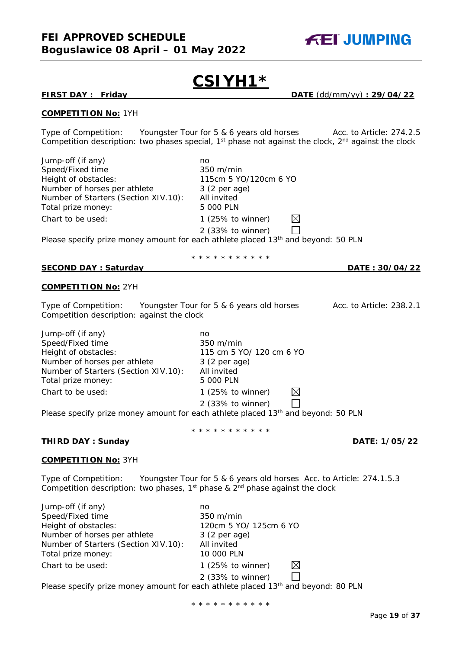

# **CSIYH1\***

**FIRST DAY : Friday DATE** (dd/mm/yy) **: 29/04/22**

#### **COMPETITION No:** 1YH

Type of Competition: Youngster Tour for 5 & 6 years old horses Acc. to Article: 274.2.5 Competition description: two phases special,  $1^{st}$  phase not against the clock,  $2^{nd}$  against the clock

| Jump-off (if any)<br>Speed/Fixed time                                                                        | no<br>350 m/min                                                                                                    |
|--------------------------------------------------------------------------------------------------------------|--------------------------------------------------------------------------------------------------------------------|
| Height of obstacles:                                                                                         | 115cm 5 YO/120cm 6 YO                                                                                              |
| Number of horses per athlete<br>Number of Starters (Section XIV.10):                                         | 3 (2 per age)<br>All invited                                                                                       |
| Total prize money:                                                                                           | 5 000 PLN                                                                                                          |
| Chart to be used:                                                                                            | $\boxtimes$<br>1 $(25\% \text{ to winner})$                                                                        |
|                                                                                                              | 2 (33% to winner)                                                                                                  |
|                                                                                                              | Please specify prize money amount for each athlete placed 13 <sup>th</sup> and beyond: 50 PLN                      |
|                                                                                                              | * * * * * * * * * * *                                                                                              |
| <b>SECOND DAY: Saturday</b>                                                                                  | <u>DATE: 30/04/22</u>                                                                                              |
| <b>COMPETITION No: 2YH</b>                                                                                   |                                                                                                                    |
| Type of Competition: Youngster Tour for 5 & 6 years old horses<br>Competition description: against the clock | Acc. to Article: 238.2.1                                                                                           |
| Jump-off (if any)                                                                                            | no                                                                                                                 |
| Speed/Fixed time                                                                                             | $350 \text{ m/min}$                                                                                                |
| Height of obstacles:                                                                                         | 115 cm 5 YO/ 120 cm 6 YO                                                                                           |
| Number of horses per athlete                                                                                 | $3(2 \text{ per age})$                                                                                             |
| Number of Starters (Section XIV.10):                                                                         | All invited                                                                                                        |
| Total prize money:                                                                                           | 5 000 PLN                                                                                                          |
| Chart to be used:                                                                                            | $\boxtimes$<br>1 $(25\% \text{ to winner})$                                                                        |
|                                                                                                              | 2 (33% to winner)<br>Please specify prize money amount for each athlete placed 13 <sup>th</sup> and beyond: 50 PLN |
|                                                                                                              | * * * * * * * * * * *                                                                                              |
| <b>THIRD DAY: Sunday</b>                                                                                     | DATE: 1/05/22                                                                                                      |
| <b>COMPETITION No: 3YH</b>                                                                                   |                                                                                                                    |
| Type of Competition:<br>Competition description: two phases, $1st$ phase & $2nd$ phase against the clock     | Youngster Tour for 5 & 6 years old horses Acc. to Article: 274.1.5.3                                               |
| Jump-off (if any)                                                                                            | no                                                                                                                 |
| Speed/Fixed time                                                                                             | 350 m/min                                                                                                          |
| Height of obstacles:                                                                                         | 120cm 5 YO/ 125cm 6 YO                                                                                             |
| Number of horses per athlete                                                                                 | 3 (2 per age)                                                                                                      |
| Number of Starters (Section XIV.10):<br>Total prize money:                                                   | All invited<br>10 000 PLN                                                                                          |
| Chart to be used:                                                                                            | $\boxtimes$<br>1 (25% to winner)                                                                                   |
|                                                                                                              | 2 (33% to winner)                                                                                                  |
|                                                                                                              | Please specify prize money amount for each athlete placed 13 <sup>th</sup> and beyond: 80 PLN                      |

\* \* \* \* \* \* \* \* \* \* \*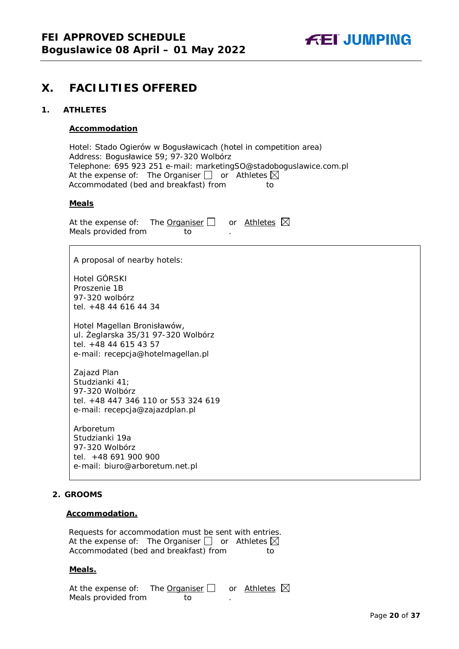

## <span id="page-19-0"></span>**X. FACILITIES OFFERED**

#### <span id="page-19-1"></span>**1. ATHLETES**

#### **Accommodation**

Hotel: Stado Ogierów w Bogusławicach (hotel in competition area) Address: Bogusławice 59; 97-320 Wolbórz Telephone: 695 923 251 e-mail: marketingSO@stadoboguslawice.com.pl At the expense of: The Organiser  $\Box$  or Athletes  $\boxtimes$ Accommodated (bed and breakfast) from to

#### **Meals**

At the expense of: The **Organiser**  $\Box$  or Athletes  $\boxtimes$ Meals provided from to

A proposal of nearby hotels:

Hotel GÓRSKI Proszenie 1B 97-320 wolbórz tel. +48 44 616 44 34

Hotel Magellan Bronisławów, ul. Żeglarska 35/31 97-320 Wolbórz tel. +48 44 615 43 57 e-mail: recepcja@hotelmagellan.pl

Zajazd Plan Studzianki 41; 97-320 Wolbórz tel. +48 447 346 110 or 553 324 619 e-mail: recepcja@zajazdplan.pl

Arboretum Studzianki 19a 97-320 Wolbórz tel. +48 691 900 900 e-mail: biuro@arboretum.net.pl

#### <span id="page-19-2"></span>**2. GROOMS**

#### **Accommodation.**

Requests for accommodation must be sent with entries. At the expense of: The Organiser  $\Box$  or Athletes  $\boxtimes$ Accommodated (bed and breakfast) from to

#### **Meals.**

| At the expense of: The Organiser $\Box$ |     | or Athletes $\boxtimes$ |  |
|-----------------------------------------|-----|-------------------------|--|
| Meals provided from                     | TO. |                         |  |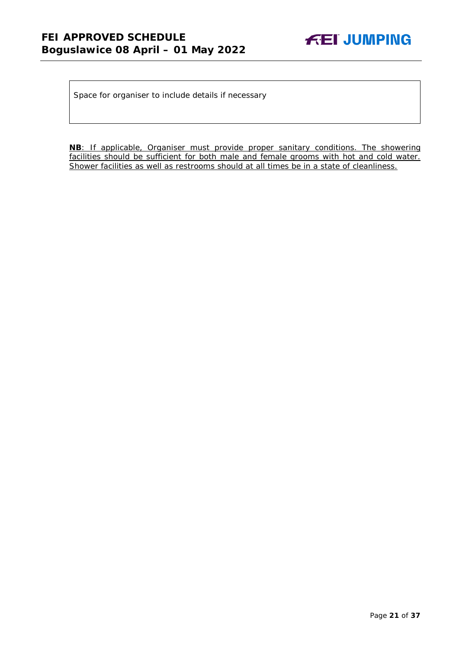

Space for organiser to include details if necessary

**NB**: If applicable, Organiser must provide proper sanitary conditions. The showering facilities should be sufficient for both male and female grooms with hot and cold water. Shower facilities as well as restrooms should at all times be in a state of cleanliness.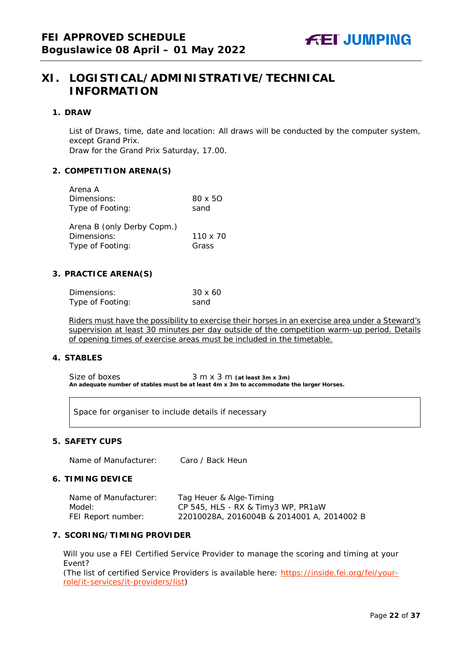## <span id="page-21-0"></span>**XI. LOGISTICAL/ADMINISTRATIVE/TECHNICAL INFORMATION**

#### <span id="page-21-1"></span>**1. DRAW**

List of Draws, time, date and location: All draws will be conducted by the computer system, except Grand Prix.

Draw for the Grand Prix Saturday, 17.00.

#### <span id="page-21-2"></span>**2. COMPETITION ARENA(S)**

| Arena A                    |                |
|----------------------------|----------------|
| Dimensions:                | $80 \times 50$ |
| Type of Footing:           | sand           |
| Arena B (only Derby Copm.) |                |
| Dimensions:                | 110 x 70       |
| Type of Footing:           | Grass          |

#### <span id="page-21-3"></span>**3. PRACTICE ARENA(S)**

| Dimensions:      | $30 \times 60$ |
|------------------|----------------|
| Type of Footing: | sand           |

Riders must have the possibility to exercise their horses in an exercise area under a Steward's supervision at least 30 minutes per day outside of the competition warm-up period. Details of opening times of exercise areas must be included in the timetable.

#### <span id="page-21-4"></span>**4. STABLES**

Size of boxes 3 m x 3 m (at least 3m x 3m) **An adequate number of stables must be at least 4m x 3m to accommodate the larger Horses.**

Space for organiser to include details if necessary

#### <span id="page-21-5"></span>**5. SAFETY CUPS**

Name of Manufacturer: Caro / Back Heun

#### <span id="page-21-6"></span>**6. TIMING DEVICE**

| Name of Manufacturer: | Tag Heuer & Alge-Timing                    |
|-----------------------|--------------------------------------------|
| Model:                | CP 545, HLS - RX & Timy3 WP, PR1aW         |
| FEI Report number:    | 22010028A, 2016004B & 2014001 A, 2014002 B |

#### <span id="page-21-7"></span>**7. SCORING/TIMING PROVIDER**

Will you use a FEI Certified Service Provider to manage the scoring and timing at your Event?

*(The list of certified Service Providers is available here:* [https://inside.fei.org/fei/your](https://inside.fei.org/fei/your-role/it-services/it-providers/list)[role/it-services/it-providers/list](https://inside.fei.org/fei/your-role/it-services/it-providers/list)*)*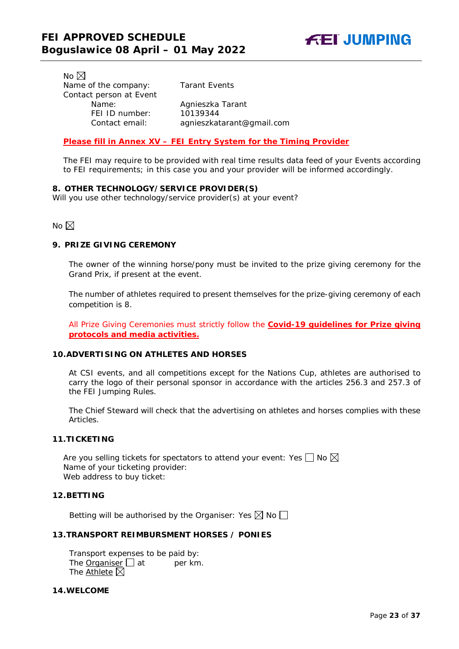No  $\boxtimes$ Name of the company: Tarant Events Contact person at Event Name: Agnieszka Tarant<br>FEI ID number: 10139344 FEI ID number:

Contact email: *agnieszkatarant@gmail.com*

#### *Please fill in Annex XV – FEI Entry System for the Timing Provider*

The FEI may require to be provided with real time results data feed of your Events according to FEI requirements; in this case you and your provider will be informed accordingly.

#### <span id="page-22-0"></span>**8. OTHER TECHNOLOGY/SERVICE PROVIDER(S)**

Will you use other technology/service provider(s) at your event?

No  $\boxtimes$ 

#### <span id="page-22-1"></span>**9. PRIZE GIVING CEREMONY**

The owner of the winning horse/pony must be invited to the prize giving ceremony for the Grand Prix, if present at the event.

The number of athletes required to present themselves for the prize-giving ceremony of each competition is 8.

All Prize Giving Ceremonies must strictly follow the **Covid-19 guidelines for Prize giving protocols and media activities.**

#### <span id="page-22-2"></span>**10.ADVERTISING ON ATHLETES AND HORSES**

At CSI events, and all competitions except for the Nations Cup, athletes are authorised to carry the logo of their personal sponsor in accordance with the articles 256.3 and 257.3 of the FEI Jumping Rules.

The Chief Steward will check that the advertising on athletes and horses complies with these Articles.

#### <span id="page-22-3"></span>**11.TICKETING**

Are you selling tickets for spectators to attend your event: Yes  $\Box$  No  $\boxtimes$ Name of your ticketing provider: Web address to buy ticket:

#### <span id="page-22-4"></span>**12.BETTING**

Betting will be authorised by the Organiser: Yes  $\boxtimes$  No  $\Box$ 

#### <span id="page-22-5"></span>**13.TRANSPORT REIMBURSMENT HORSES / PONIES**

Transport expenses to be paid by: The **Organiser**  $\Box$  at per km. The Athlete  $\boxtimes$ 

#### <span id="page-22-6"></span>**14.WELCOME**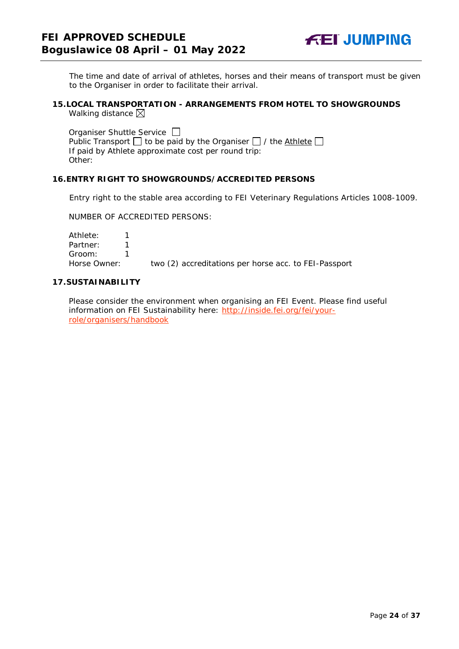

The time and date of arrival of athletes, horses and their means of transport must be given to the Organiser in order to facilitate their arrival.

#### <span id="page-23-0"></span>**15.LOCAL TRANSPORTATION - ARRANGEMENTS FROM HOTEL TO SHOWGROUNDS** Walking distance  $\boxtimes$

Organiser Shuttle Service  $\Box$ Public Transport  $\Box$  to be paid by the Organiser  $\Box$  / the Athlete  $\Box$ If paid by Athlete approximate cost per round trip: Other:

#### <span id="page-23-1"></span>**16.ENTRY RIGHT TO SHOWGROUNDS/ACCREDITED PERSONS**

Entry right to the stable area according to FEI Veterinary Regulations Articles 1008-1009.

NUMBER OF ACCREDITED PERSONS:

Athlete: 1 Partner: 1<br>Groom: 1 Groom: 1 Horse Owner: two (2) accreditations per horse acc. to FEI-Passport

#### <span id="page-23-2"></span>**17.SUSTAINABILITY**

Please consider the environment when organising an FEI Event. Please find useful information on FEI Sustainability here: [http://inside.fei.org/fei/your](http://inside.fei.org/fei/your-role/organisers/handbook)[role/organisers/handbook](http://inside.fei.org/fei/your-role/organisers/handbook)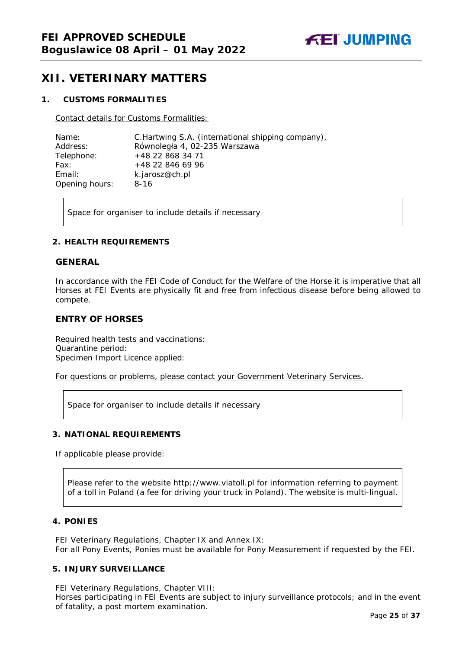

## <span id="page-24-0"></span>**XII. VETERINARY MATTERS**

#### <span id="page-24-1"></span>**1. CUSTOMS FORMALITIES**

Contact details for Customs Formalities:

| Name:          | C. Hartwing S.A. (international shipping company), |
|----------------|----------------------------------------------------|
| Address:       | Równoległa 4, 02-235 Warszawa                      |
| Telephone:     | +48 22 868 34 71                                   |
| Fax:           | +48 22 846 69 96                                   |
| Email:         | k.jarosz@ch.pl                                     |
| Opening hours: | $8 - 16$                                           |

Space for organiser to include details if necessary

#### <span id="page-24-2"></span>**2. HEALTH REQUIREMENTS**

#### **GENERAL**

In accordance with the FEI Code of Conduct for the Welfare of the Horse it is imperative that all Horses at FEI Events are physically fit and free from infectious disease before being allowed to compete.

#### **ENTRY OF HORSES**

Required health tests and vaccinations: Quarantine period: Specimen Import Licence applied:

For questions or problems, please contact your Government Veterinary Services.

Space for organiser to include details if necessary

#### <span id="page-24-3"></span>**3. NATIONAL REQUIREMENTS**

If applicable please provide:

Please refer to the website http://www.viatoll.pl for information referring to payment of a toll in Poland (a fee for driving your truck in Poland). The website is multi-lingual.

#### <span id="page-24-4"></span>**4. PONIES**

FEI Veterinary Regulations, Chapter IX and Annex IX: For all Pony Events, Ponies must be available for Pony Measurement if requested by the FEI.

#### <span id="page-24-5"></span>**5. INJURY SURVEILLANCE**

FEI Veterinary Regulations, Chapter VIII:

Horses participating in FEI Events are subject to injury surveillance protocols; and in the event of fatality, a post mortem examination.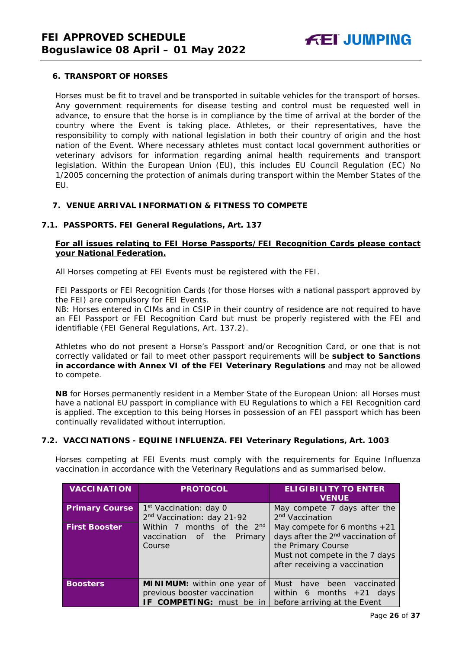#### <span id="page-25-0"></span>**6. TRANSPORT OF HORSES**

Horses must be fit to travel and be transported in suitable vehicles for the transport of horses. Any government requirements for disease testing and control must be requested well in advance, to ensure that the horse is in compliance by the time of arrival at the border of the country where the Event is taking place. Athletes, or their representatives, have the responsibility to comply with national legislation in both their country of origin and the host nation of the Event. Where necessary athletes must contact local government authorities or veterinary advisors for information regarding animal health requirements and transport legislation. Within the European Union (EU), this includes EU Council Regulation (EC) No 1/2005 concerning the protection of animals during transport within the Member States of the EU.

#### <span id="page-25-1"></span>**7. VENUE ARRIVAL INFORMATION & FITNESS TO COMPETE**

#### **7.1. PASSPORTS. FEI General Regulations, Art. 137**

#### **For all issues relating to FEI Horse Passports/FEI Recognition Cards please contact your National Federation.**

All Horses competing at FEI Events must be registered with the FEI.

FEI Passports or FEI Recognition Cards (for those Horses with a national passport approved by the FEI) are compulsory for FEI Events.

NB: Horses entered in CIMs and in CSIP in their country of residence are not required to have an FEI Passport or FEI Recognition Card but must be properly registered with the FEI and identifiable (FEI General Regulations, Art. 137.2).

Athletes who do not present a Horse's Passport and/or Recognition Card, or one that is not correctly validated or fail to meet other passport requirements will be **subject to Sanctions in accordance with Annex VI of the FEI Veterinary Regulations** and may not be allowed to compete.

**NB** for Horses permanently resident in a Member State of the European Union: all Horses must have a national EU passport in compliance with EU Regulations to which a FEI Recognition card is applied. The exception to this being Horses in possession of an FEI passport which has been continually revalidated without interruption.

#### **7.2. VACCINATIONS - EQUINE INFLUENZA. FEI Veterinary Regulations, Art. 1003**

Horses competing at FEI Events must comply with the requirements for Equine Influenza vaccination in accordance with the Veterinary Regulations and as summarised below.

| <b>VACCINATION</b>    | <b>PROTOCOL</b>                        | <b>ELIGIBILITY TO ENTER</b><br><b>VENUE</b>   |
|-----------------------|----------------------------------------|-----------------------------------------------|
| <b>Primary Course</b> | 1 <sup>st</sup> Vaccination: day 0     | May compete 7 days after the                  |
|                       | 2 <sup>nd</sup> Vaccination: day 21-92 | 2 <sup>nd</sup> Vaccination                   |
| <b>First Booster</b>  | Within 7 months of the 2nd             | May compete for 6 months $+21$                |
|                       | vaccination<br>the<br>Primary<br>of    | days after the 2 <sup>nd</sup> vaccination of |
|                       | Course                                 | the Primary Course                            |
|                       |                                        | Must not compete in the 7 days                |
|                       |                                        | after receiving a vaccination                 |
|                       |                                        |                                               |
| <b>Boosters</b>       | MINIMUM: within one year of            | Must<br>been<br>have<br>vaccinated            |
|                       | previous booster vaccination           | within 6 months $+21$ days                    |
|                       | IF COMPETING: must be in               | before arriving at the Event                  |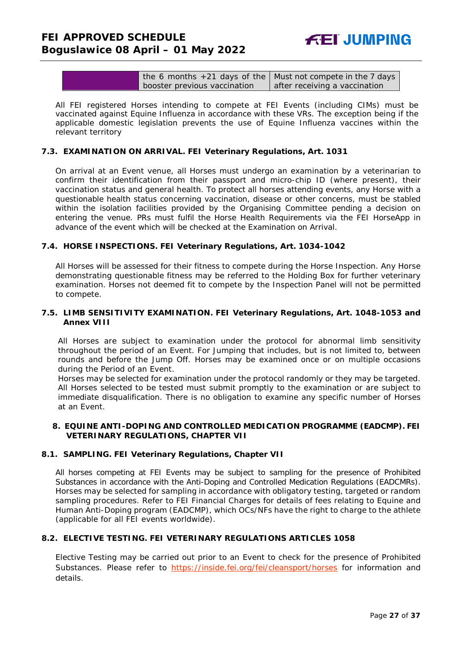| the 6 months +21 days of the Must not compete in the 7 days |                               |
|-------------------------------------------------------------|-------------------------------|
| booster previous vaccination                                | after receiving a vaccination |

All FEI registered Horses intending to compete at FEI Events (including CIMs) must be vaccinated against Equine Influenza in accordance with these VRs. The exception being if the applicable domestic legislation prevents the use of Equine Influenza vaccines within the relevant territory

#### **7.3. EXAMINATION ON ARRIVAL. FEI Veterinary Regulations, Art. 1031**

On arrival at an Event venue, all Horses must undergo an examination by a veterinarian to confirm their identification from their passport and micro-chip ID (where present), their vaccination status and general health. To protect all horses attending events, any Horse with a questionable health status concerning vaccination, disease or other concerns, must be stabled within the isolation facilities provided by the Organising Committee pending a decision on entering the venue. PRs must fulfil the Horse Health Requirements via the FEI HorseApp in advance of the event which will be checked at the Examination on Arrival.

#### **7.4. HORSE INSPECTIONS. FEI Veterinary Regulations, Art. 1034-1042**

All Horses will be assessed for their fitness to compete during the Horse Inspection. Any Horse demonstrating questionable fitness may be referred to the Holding Box for further veterinary examination. Horses not deemed fit to compete by the Inspection Panel will not be permitted to compete.

#### **7.5. LIMB SENSITIVITY EXAMINATION. FEI Veterinary Regulations, Art. 1048-1053 and Annex VIII**

All Horses are subject to examination under the protocol for abnormal limb sensitivity throughout the period of an Event. For Jumping that includes, but is not limited to, between rounds and before the Jump Off. Horses may be examined once or on multiple occasions during the Period of an Event.

Horses may be selected for examination under the protocol randomly or they may be targeted. All Horses selected to be tested must submit promptly to the examination or are subject to immediate disqualification. There is no obligation to examine any specific number of Horses at an Event.

#### <span id="page-26-0"></span>**8. EQUINE ANTI-DOPING AND CONTROLLED MEDICATION PROGRAMME (EADCMP). FEI VETERINARY REGULATIONS, CHAPTER VII**

#### **8.1. SAMPLING. FEI Veterinary Regulations, Chapter VII**

All horses competing at FEI Events may be subject to sampling for the presence of Prohibited Substances in accordance with the Anti-Doping and Controlled Medication Regulations (EADCMRs). Horses may be selected for sampling in accordance with obligatory testing, targeted or random sampling procedures. Refer to FEI Financial Charges for details of fees relating to Equine and Human Anti-Doping program (EADCMP), which OCs/NFs have the right to charge to the athlete (applicable for all FEI events worldwide).

#### **8.2. ELECTIVE TESTING. FEI VETERINARY REGULATIONS ARTICLES 1058**

Elective Testing may be carried out prior to an Event to check for the presence of Prohibited Substances. Please refer to <https://inside.fei.org/fei/cleansport/horses> for information and details.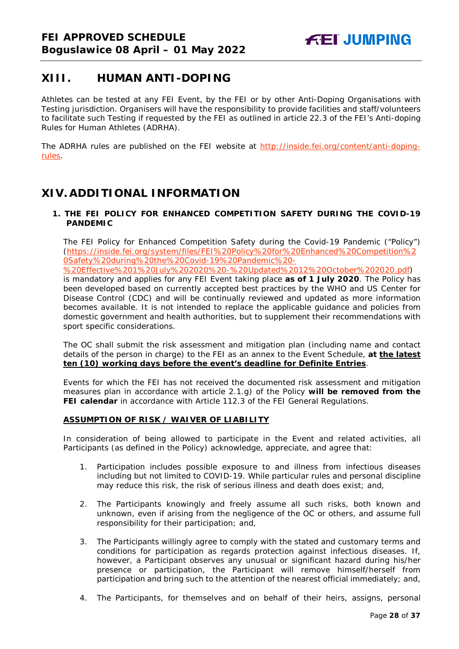## <span id="page-27-0"></span>**XIII. HUMAN ANTI-DOPING**

Athletes can be tested at any FEI Event, by the FEI or by other Anti-Doping Organisations with Testing jurisdiction. Organisers will have the responsibility to provide facilities and staff/volunteers to facilitate such Testing if requested by the FEI as outlined in article 22.3 of the FEI's Anti-doping Rules for Human Athletes (ADRHA).

The ADRHA rules are published on the FEI website at [http://inside.fei.org/content/anti-doping](http://inside.fei.org/content/anti-doping-rules)[rules.](http://inside.fei.org/content/anti-doping-rules)

## <span id="page-27-1"></span>**XIV. ADDITIONAL INFORMATION**

#### <span id="page-27-2"></span>**1. THE FEI POLICY FOR ENHANCED COMPETITION SAFETY DURING THE COVID-19 PANDEMIC**

The FEI Policy for Enhanced Competition Safety during the Covid-19 Pandemic ("Policy") (https://inside.fei.org/system/files/FEI%20Policy%20for%20Enhanced%20Competition%2 0Safety%20during%20the%20Covid-19%20Pandemic%20-

%20Effective%201%20July%202020%20-%20Updated%2012%20October%202020.pdf) is mandatory and applies for any FEI Event taking place **as of 1 July 2020**. The Policy has been developed based on currently accepted best practices by the WHO and US Center for Disease Control (CDC) and will be continually reviewed and updated as more information becomes available. It is not intended to replace the applicable guidance and policies from domestic government and health authorities, but to supplement their recommendations with sport specific considerations.

The OC shall submit the risk assessment and mitigation plan (including name and contact details of the person in charge) to the FEI as an annex to the Event Schedule, **at the latest ten (10) working days before the event's deadline for Definite Entries**.

Events for which the FEI has not received the documented risk assessment and mitigation measures plan in accordance with article 2.1.g) of the Policy **will be removed from the FEI calendar** in accordance with Article 112.3 of the FEI General Regulations.

### **ASSUMPTION OF RISK / WAIVER OF LIABILITY**

In consideration of being allowed to participate in the Event and related activities, all Participants (as defined in the Policy) acknowledge, appreciate, and agree that:

- 1. Participation includes possible exposure to and illness from infectious diseases including but not limited to COVID-19. While particular rules and personal discipline may reduce this risk, the risk of serious illness and death does exist; and,
- 2. The Participants knowingly and freely assume all such risks, both known and unknown, even if arising from the negligence of the OC or others, and assume full responsibility for their participation; and,
- 3. The Participants willingly agree to comply with the stated and customary terms and conditions for participation as regards protection against infectious diseases. If, however, a Participant observes any unusual or significant hazard during his/her presence or participation, the Participant will remove himself/herself from participation and bring such to the attention of the nearest official immediately; and,
- 4. The Participants, for themselves and on behalf of their heirs, assigns, personal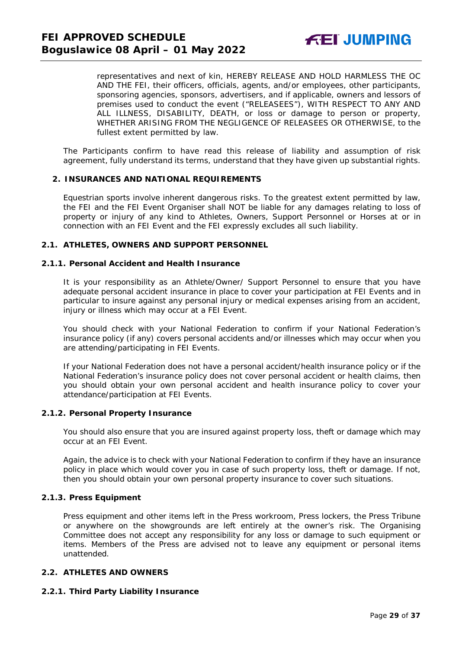representatives and next of kin, HEREBY RELEASE AND HOLD HARMLESS THE OC AND THE FEI, their officers, officials, agents, and/or employees, other participants, sponsoring agencies, sponsors, advertisers, and if applicable, owners and lessors of premises used to conduct the event ("RELEASEES"), WITH RESPECT TO ANY AND ALL ILLNESS, DISABILITY, DEATH, or loss or damage to person or property, WHETHER ARISING FROM THE NEGLIGENCE OF RELEASEES OR OTHERWISE, to the fullest extent permitted by law.

The Participants confirm to have read this release of liability and assumption of risk agreement, fully understand its terms, understand that they have given up substantial rights.

#### <span id="page-28-0"></span>**2. INSURANCES AND NATIONAL REQUIREMENTS**

Equestrian sports involve inherent dangerous risks. To the greatest extent permitted by law, the FEI and the FEI Event Organiser shall NOT be liable for any damages relating to loss of property or injury of any kind to Athletes, Owners, Support Personnel or Horses at or in connection with an FEI Event and the FEI expressly excludes all such liability.

#### **2.1. ATHLETES, OWNERS AND SUPPORT PERSONNEL**

#### **2.1.1. Personal Accident and Health Insurance**

It is your responsibility as an Athlete/Owner/ Support Personnel to ensure that you have adequate personal accident insurance in place to cover your participation at FEI Events and in particular to insure against any personal injury or medical expenses arising from an accident, injury or illness which may occur at a FEI Event.

You should check with your National Federation to confirm if your National Federation's insurance policy (if any) covers personal accidents and/or illnesses which may occur when you are attending/participating in FEI Events.

If your National Federation does not have a personal accident/health insurance policy or if the National Federation's insurance policy does not cover personal accident or health claims, then you should obtain your own personal accident and health insurance policy to cover your attendance/participation at FEI Events.

#### **2.1.2. Personal Property Insurance**

You should also ensure that you are insured against property loss, theft or damage which may occur at an FEI Event.

Again, the advice is to check with your National Federation to confirm if they have an insurance policy in place which would cover you in case of such property loss, theft or damage. If not, then you should obtain your own personal property insurance to cover such situations.

#### **2.1.3. Press Equipment**

Press equipment and other items left in the Press workroom, Press lockers, the Press Tribune or anywhere on the showgrounds are left entirely at the owner's risk. The Organising Committee does not accept any responsibility for any loss or damage to such equipment or items. Members of the Press are advised not to leave any equipment or personal items unattended.

#### **2.2. ATHLETES AND OWNERS**

#### **2.2.1. Third Party Liability Insurance**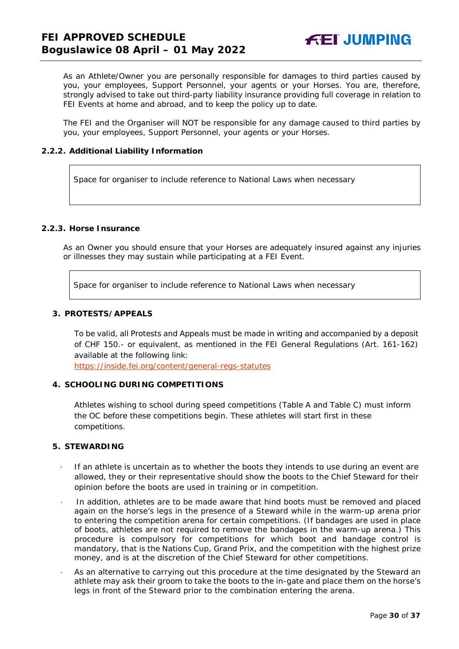As an Athlete/Owner you are personally responsible for damages to third parties caused by you, your employees, Support Personnel, your agents or your Horses. You are, therefore, strongly advised to take out third-party liability insurance providing full coverage in relation to FEI Events at home and abroad, and to keep the policy up to date.

The FEI and the Organiser will NOT be responsible for any damage caused to third parties by you, your employees, Support Personnel, your agents or your Horses.

#### **2.2.2. Additional Liability Information**

Space for organiser to include reference to National Laws when necessary

### **2.2.3. Horse Insurance**

As an Owner you should ensure that your Horses are adequately insured against any injuries or illnesses they may sustain while participating at a FEI Event.

Space for organiser to include reference to National Laws when necessary

#### <span id="page-29-0"></span>**3. PROTESTS/APPEALS**

To be valid, all Protests and Appeals must be made in writing and accompanied by a deposit of CHF 150.- or equivalent, as mentioned in the FEI General Regulations (Art. 161-162) available at the following link:

<https://inside.fei.org/content/general-regs-statutes>

#### <span id="page-29-1"></span>**4. SCHOOLING DURING COMPETITIONS**

Athletes wishing to school during speed competitions (Table A and Table C) must inform the OC before these competitions begin. These athletes will start first in these competitions.

#### <span id="page-29-2"></span>**5. STEWARDING**

- If an athlete is uncertain as to whether the boots they intends to use during an event are allowed, they or their representative should show the boots to the Chief Steward for their opinion before the boots are used in training or in competition.
- In addition, athletes are to be made aware that hind boots must be removed and placed again on the horse's legs in the presence of a Steward while in the warm-up arena prior to entering the competition arena for certain competitions. (If bandages are used in place of boots, athletes are not required to remove the bandages in the warm-up arena.) This procedure is compulsory for competitions for which boot and bandage control is mandatory, that is the Nations Cup, Grand Prix, and the competition with the highest prize money, and is at the discretion of the Chief Steward for other competitions.
- As an alternative to carrying out this procedure at the time designated by the Steward an athlete may ask their groom to take the boots to the in-gate and place them on the horse's legs in front of the Steward prior to the combination entering the arena.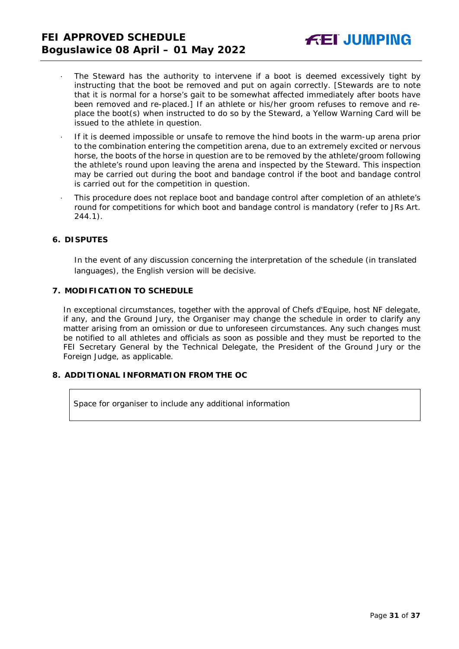- The Steward has the authority to intervene if a boot is deemed excessively tight by instructing that the boot be removed and put on again correctly. *[Stewards are to note that it is normal for a horse's gait to be somewhat affected immediately after boots have been removed and re-placed.]* If an athlete or his/her groom refuses to remove and replace the boot(s) when instructed to do so by the Steward, a Yellow Warning Card will be issued to the athlete in question.
- · If it is deemed impossible or unsafe to remove the hind boots in the warm-up arena prior to the combination entering the competition arena, due to an extremely excited or nervous horse, the boots of the horse in question are to be removed by the athlete/groom following the athlete's round upon leaving the arena and inspected by the Steward. This inspection may be carried out during the boot and bandage control if the boot and bandage control is carried out for the competition in question.
- · This procedure does not replace boot and bandage control after completion of an athlete's round for competitions for which boot and bandage control is mandatory (refer to JRs Art. 244.1).

#### <span id="page-30-0"></span>**6. DISPUTES**

In the event of any discussion concerning the interpretation of the schedule (in translated languages), the English version will be decisive.

#### <span id="page-30-1"></span>**7. MODIFICATION TO SCHEDULE**

In exceptional circumstances, together with the approval of Chefs d'Equipe, host NF delegate, if any, and the Ground Jury, the Organiser may change the schedule in order to clarify any matter arising from an omission or due to unforeseen circumstances. Any such changes must be notified to all athletes and officials as soon as possible and they must be reported to the FEI Secretary General by the Technical Delegate, the President of the Ground Jury or the Foreign Judge, as applicable.

#### <span id="page-30-2"></span>**8. ADDITIONAL INFORMATION FROM THE OC**

Space for organiser to include any additional information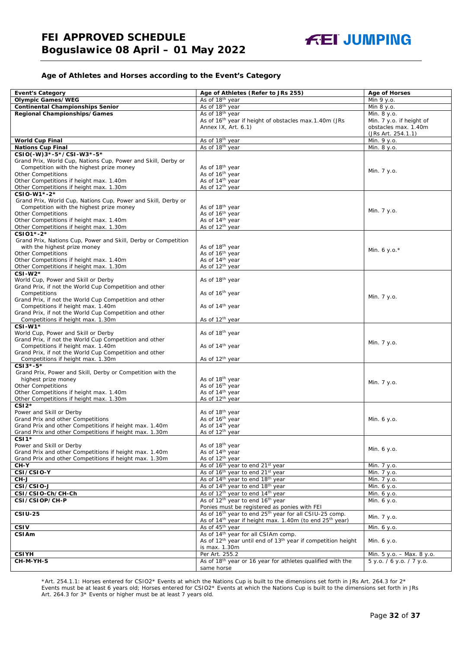

#### **Age of Athletes and Horses according to the Event's Category**

| <b>Event's Category</b>                                                                     | Age of Athletes (Refer to JRs 255)                                                                                             | <b>Age of Horses</b>      |
|---------------------------------------------------------------------------------------------|--------------------------------------------------------------------------------------------------------------------------------|---------------------------|
| <b>Olympic Games/WEG</b>                                                                    | As of 18 <sup>th</sup> year                                                                                                    | Min 9 y.o.                |
| <b>Continental Championships Senior</b>                                                     | As of 18 <sup>th</sup> year                                                                                                    | Min 8 y.o.                |
| Regional Championships/Games                                                                | As of 18 <sup>th</sup> year                                                                                                    | Min. 8 y.o.               |
|                                                                                             | As of 16 <sup>th</sup> year if height of obstacles max.1.40m (JRs                                                              | Min. 7 y.o. if height of  |
|                                                                                             | Annex IX, Art. 6.1)                                                                                                            | obstacles max. 1.40m      |
|                                                                                             |                                                                                                                                | (JRs Art. 254.1.1)        |
| <b>World Cup Final</b>                                                                      | As of 18 <sup>th</sup> year                                                                                                    | Min. 9 y.o.               |
| <b>Nations Cup Final</b>                                                                    | As of 18th year                                                                                                                | Min. 8 y.o.               |
| CSIO(-W)3*-5*/CSI-W3*-5*                                                                    |                                                                                                                                |                           |
| Grand Prix, World Cup, Nations Cup, Power and Skill, Derby or                               |                                                                                                                                |                           |
| Competition with the highest prize money                                                    | As of 18 <sup>th</sup> year                                                                                                    | Min. 7 y.o.               |
| <b>Other Competitions</b>                                                                   | As of 16 <sup>th</sup> year                                                                                                    |                           |
| Other Competitions if height max. 1.40m                                                     | As of 14 <sup>th</sup> year                                                                                                    |                           |
| Other Competitions if height max. 1.30m                                                     | As of 12 <sup>th</sup> year                                                                                                    |                           |
| CSIO-W1*-2*                                                                                 |                                                                                                                                |                           |
| Grand Prix, World Cup, Nations Cup, Power and Skill, Derby or                               |                                                                                                                                |                           |
| Competition with the highest prize money<br><b>Other Competitions</b>                       | As of 18 <sup>th</sup> year<br>As of 16 <sup>th</sup> year                                                                     | Min. 7 y.o.               |
| Other Competitions if height max. 1.40m                                                     | As of 14 <sup>th</sup> year                                                                                                    |                           |
| Other Competitions if height max. 1.30m                                                     | As of 12 <sup>th</sup> year                                                                                                    |                           |
| CSI01*-2*                                                                                   |                                                                                                                                |                           |
| Grand Prix, Nations Cup, Power and Skill, Derby or Competition                              |                                                                                                                                |                           |
| with the highest prize money                                                                | As of 18 <sup>th</sup> year                                                                                                    |                           |
| <b>Other Competitions</b>                                                                   | As of 16 <sup>th</sup> year                                                                                                    | Min. 6 y.o. $*$           |
| Other Competitions if height max. 1.40m                                                     | As of 14 <sup>th</sup> year                                                                                                    |                           |
| Other Competitions if height max. 1.30m                                                     | As of 12 <sup>th</sup> year                                                                                                    |                           |
| CSI-W2*                                                                                     |                                                                                                                                |                           |
| World Cup, Power and Skill or Derby                                                         | As of 18 <sup>th</sup> year                                                                                                    |                           |
| Grand Prix, if not the World Cup Competition and other                                      |                                                                                                                                |                           |
| Competitions                                                                                | As of 16 <sup>th</sup> year                                                                                                    | Min. 7 y.o.               |
| Grand Prix, if not the World Cup Competition and other                                      |                                                                                                                                |                           |
| Competitions if height max. 1.40m                                                           | As of 14 <sup>th</sup> year                                                                                                    |                           |
| Grand Prix, if not the World Cup Competition and other<br>Competitions if height max. 1.30m | As of 12 <sup>th</sup> year                                                                                                    |                           |
| CSI-W1*                                                                                     |                                                                                                                                |                           |
| World Cup, Power and Skill or Derby                                                         | As of 18 <sup>th</sup> year                                                                                                    |                           |
| Grand Prix, if not the World Cup Competition and other                                      |                                                                                                                                |                           |
| Competitions if height max. 1.40m                                                           | As of 14 <sup>th</sup> year                                                                                                    | Min. 7 y.o.               |
| Grand Prix, if not the World Cup Competition and other                                      |                                                                                                                                |                           |
| Competitions if height max. 1.30m                                                           | As of 12 <sup>th</sup> year                                                                                                    |                           |
| CSI3*-5*                                                                                    |                                                                                                                                |                           |
| Grand Prix, Power and Skill, Derby or Competition with the                                  |                                                                                                                                |                           |
| highest prize money                                                                         | As of 18th year                                                                                                                | Min. 7 y.o.               |
| <b>Other Competitions</b>                                                                   | As of 16 <sup>th</sup> year                                                                                                    |                           |
| Other Competitions if height max. 1.40m                                                     | As of 14 <sup>th</sup> year                                                                                                    |                           |
| Other Competitions if height max. 1.30m                                                     | As of 12 <sup>th</sup> year                                                                                                    |                           |
| $CSI2*$<br>Power and Skill or Derby                                                         |                                                                                                                                |                           |
| Grand Prix and other Competitions                                                           | As of 18 <sup>th</sup> year<br>As of 16 <sup>th</sup> year                                                                     | Min. 6 y.o.               |
| Grand Prix and other Competitions if height max. 1.40m                                      | As of 14 <sup>th</sup> year                                                                                                    |                           |
| Grand Prix and other Competitions if height max. 1.30m                                      | As of 12 <sup>th</sup> vear                                                                                                    |                           |
| CSI <sub>1</sub> *                                                                          |                                                                                                                                |                           |
| Power and Skill or Derby                                                                    | As of 18 <sup>th</sup> year                                                                                                    |                           |
| Grand Prix and other Competitions if height max. 1.40m                                      | As of 14 <sup>th</sup> year                                                                                                    | Min. 6 y.o.               |
| Grand Prix and other Competitions if height max. 1.30m                                      | As of 12 <sup>th</sup> year                                                                                                    |                           |
| $CH-Y$                                                                                      | As of 16 <sup>th</sup> year to end 21 <sup>st</sup> year                                                                       | Min. 7 y.o.               |
| CSI/CSIO-Y                                                                                  | As of 16 <sup>th</sup> year to end 21 <sup>st</sup> year                                                                       | Min. 7 y.o.               |
| CH-J                                                                                        | As of 14 <sup>th</sup> year to end 18 <sup>th</sup> year                                                                       | Min. 7 y.o.               |
| CSI/CSIO-J                                                                                  | As of 14 <sup>th</sup> year to end 18 <sup>th</sup> year                                                                       | Min. 6 y.o.               |
| CSI/CSIO-Ch/CH-Ch                                                                           | As of 12 <sup>th</sup> year to end 14 <sup>th</sup> year                                                                       | Min. 6 y.o.               |
| CSI/CSIOP/CH-P                                                                              | As of 12 <sup>th</sup> year to end 16 <sup>th</sup> year                                                                       | Min. 6 y.o.               |
| <b>CSIU-25</b>                                                                              | Ponies must be registered as ponies with FEI<br>As of 16 <sup>th</sup> year to end 25 <sup>th</sup> year for all CSIU-25 comp. |                           |
|                                                                                             | As of 14 <sup>th</sup> year if height max. 1.40m (to end 25 <sup>th</sup> year)                                                | Min. 7 y.o.               |
| <b>CSIV</b>                                                                                 | As of 45 <sup>th</sup> year                                                                                                    | Min. 6 y.o.               |
| CSIAm                                                                                       | As of 14 <sup>th</sup> year for all CSIAm comp.                                                                                |                           |
|                                                                                             | As of 12 <sup>th</sup> year until end of 13 <sup>th</sup> year if competition height                                           | Min. 6 y.o.               |
|                                                                                             | is max. 1.30m                                                                                                                  |                           |
| <b>CSIYH</b>                                                                                | Per Art. 255.2                                                                                                                 | Min. 5 y.o. - Max. 8 y.o. |
| CH-M-YH-S                                                                                   | As of 18th year or 16 year for athletes qualified with the                                                                     | 5 y.o. / 6 y.o. / 7 y.o.  |
|                                                                                             | same horse                                                                                                                     |                           |

\*Art. 254.1.1: Horses entered for CSIO2\* Events at which the Nations Cup is built to the dimensions set forth in JRs Art. 264.3 for 2\* Events must be at least 6 years old; Horses entered for CSIO2\* Events at which the Nations Cup is built to the dimensions set forth in JRs Art. 264.3 for 3\* Events or higher must be at least 7 years old.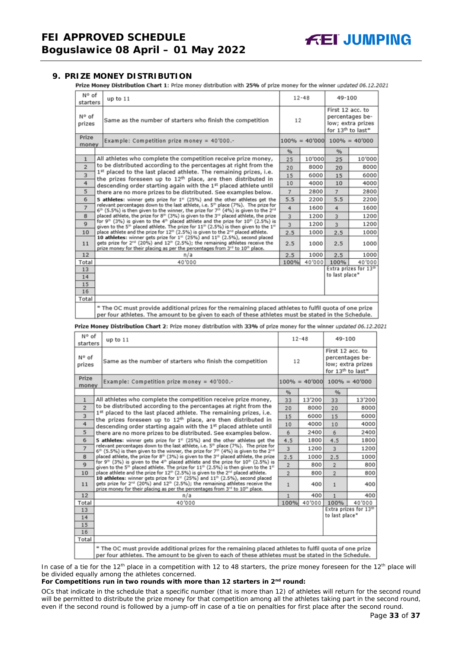<span id="page-32-0"></span>**9. PRIZE MONEY DISTRIBUTION**<br>**Prize Money Distribution Chart 1:** Prize money distribution with 25% of prize money for the winner updated 06.12.2021

| N° of<br>starters                                                | up to 11                                                                                                                                                                                                                                                                                                            |                | $12 - 48$ | 49-100                            |                                                                       |
|------------------------------------------------------------------|---------------------------------------------------------------------------------------------------------------------------------------------------------------------------------------------------------------------------------------------------------------------------------------------------------------------|----------------|-----------|-----------------------------------|-----------------------------------------------------------------------|
| N° of<br>prizes                                                  | Same as the number of starters who finish the competition                                                                                                                                                                                                                                                           | 12             |           | First 12 acc. to                  | percentages be-<br>low; extra prizes<br>for 13 <sup>th</sup> to last* |
| Prize<br>Example: Competition prize money = $40'000$ .-<br>money |                                                                                                                                                                                                                                                                                                                     |                |           | $100\% = 40'000$ $100\% = 40'000$ |                                                                       |
|                                                                  |                                                                                                                                                                                                                                                                                                                     | %              |           | %                                 |                                                                       |
| $\mathbf{1}$                                                     | All athletes who complete the competition receive prize money,                                                                                                                                                                                                                                                      | 25             | 10'000    | 25                                | 10'000                                                                |
| $\overline{2}$                                                   | to be distributed according to the percentages at right from the                                                                                                                                                                                                                                                    | 20             | 8000      | 20                                | 8000                                                                  |
| $\overline{\mathbf{3}}$                                          | 1st placed to the last placed athlete. The remaining prizes, i.e.                                                                                                                                                                                                                                                   |                | 6000      | 15                                | 6000                                                                  |
| 4                                                                | the prizes foreseen up to 12 <sup>th</sup> place, are then distributed in<br>descending order starting again with the 1st placed athlete until                                                                                                                                                                      |                |           | 10                                | 4000                                                                  |
| 5                                                                | there are no more prizes to be distributed. See examples below.                                                                                                                                                                                                                                                     | $\overline{7}$ | 2800      | $\overline{7}$                    | 2800                                                                  |
| 6                                                                | 5 athletes: winner gets prize for 1 <sup>#</sup> (25%) and the other athletes get the                                                                                                                                                                                                                               | 5.5            | 2200      | 5.5                               | 2200                                                                  |
| $\overline{7}$                                                   | relevant percentages down to the last athlete, i.e. 5 <sup>th</sup> place (7%). The prize for<br>$6th$ (5.5%) is then given to the winner, the prize for 7 <sup>th</sup> (4%) is given to the 2 <sup>nd</sup>                                                                                                       | 4              | 1600      | 4                                 | 1600                                                                  |
| 8                                                                | placed athlete, the prize for 8th (3%) is given to the 3rd placed athlete, the prize<br>for $9^{th}$ (3%) is given to the 4 <sup>th</sup> placed athlete and the prize for 10 <sup>th</sup> (2.5%) is<br>given to the 5 <sup>th</sup> placed athlete. The prize for $11th$ (2.5%) is then given to the $1th$        |                | 1200      | $\overline{3}$                    | 1200                                                                  |
| $\mathbf{Q}$                                                     |                                                                                                                                                                                                                                                                                                                     |                | 1200      | $\overline{3}$                    | 1200                                                                  |
| 10                                                               | place athlete and the prize for 12 <sup>th</sup> (2.5%) is given to the 2 <sup>nd</sup> placed athlete.                                                                                                                                                                                                             | 2.5            | 1000      | 2.5                               | 1000                                                                  |
| 11                                                               | 10 athletes: winner gets prize for 1 <sup>st</sup> (25%) and 11 <sup>th</sup> (2.5%), second placed<br>gets prize for 2 <sup>nd</sup> (20%) and 12 <sup>th</sup> (2.5%); the remaining athletes receive the<br>prize money for their placing as per the percentages from 3 <sup>rd</sup> to 10 <sup>th</sup> place. |                | 1000      | 2.5                               | 1000                                                                  |
| 12                                                               | n/a                                                                                                                                                                                                                                                                                                                 | 2.5            | 1000      | 2.5                               | 1000                                                                  |
| Total                                                            | 40'000                                                                                                                                                                                                                                                                                                              | 100%           | 40'000    | 100%                              | 40'000                                                                |
| 13                                                               |                                                                                                                                                                                                                                                                                                                     |                |           |                                   | Extra prizes for 13th                                                 |
| 14                                                               |                                                                                                                                                                                                                                                                                                                     |                |           | to last place*                    |                                                                       |
| 15                                                               |                                                                                                                                                                                                                                                                                                                     |                |           |                                   |                                                                       |
| 16                                                               |                                                                                                                                                                                                                                                                                                                     |                |           |                                   |                                                                       |
| Total                                                            |                                                                                                                                                                                                                                                                                                                     |                |           |                                   |                                                                       |
|                                                                  | * The OC must provide additional prizes for the remaining placed athletes to fulfil quota of one prize<br>per four athletes. The amount to be given to each of these athletes must be stated in the Schedule.                                                                                                       |                |           |                                   |                                                                       |

Prize Money Distribution Chart 2: Prize money distribution with 33% of prize money for the winner updated 06.12.2021

| N° of<br>starters | up to $11$                                                                                                                                                                                                                                                          |                | $12 - 48$        | 49-100                                                                                    |                  |  |
|-------------------|---------------------------------------------------------------------------------------------------------------------------------------------------------------------------------------------------------------------------------------------------------------------|----------------|------------------|-------------------------------------------------------------------------------------------|------------------|--|
| N° of<br>prizes   | Same as the number of starters who finish the competition                                                                                                                                                                                                           | 12             |                  | First 12 acc. to<br>percentages be-<br>low; extra prizes<br>for 13 <sup>th</sup> to last* |                  |  |
| Prize<br>money    | Example: Competition prize money = 40'000.-                                                                                                                                                                                                                         |                | $100\% = 40'000$ |                                                                                           | $100\% = 40'000$ |  |
|                   |                                                                                                                                                                                                                                                                     | $\frac{9}{6}$  |                  | %                                                                                         |                  |  |
| $\mathbf{1}$      | All athletes who complete the competition receive prize money,                                                                                                                                                                                                      | 33             | 13'200           | 33                                                                                        | 13'200           |  |
| $\overline{2}$    | to be distributed according to the percentages at right from the                                                                                                                                                                                                    | 20             | 8000             | 20                                                                                        | 8000             |  |
| 3                 | 1st placed to the last placed athlete. The remaining prizes, i.e.                                                                                                                                                                                                   |                |                  | 15                                                                                        | 6000             |  |
| 4                 | the prizes foreseen up to 12 <sup>th</sup> place, are then distributed in<br>descending order starting again with the 1st placed athlete until                                                                                                                      | 10             | 4000             | 10                                                                                        | 4000             |  |
| 5                 | there are no more prizes to be distributed. See examples below.                                                                                                                                                                                                     | 6              | 2400             | 6                                                                                         | 2400             |  |
| 6                 | 5 athletes: winner gets prize for $1st$ (25%) and the other athletes get the                                                                                                                                                                                        | 4.5            | 1800             | 4.5                                                                                       | 1800             |  |
| $\overline{7}$    | relevant percentages down to the last athlete, i.e. 5 <sup>th</sup> place (7%). The prize for<br>$6th$ (5.5%) is then given to the winner, the prize for 7 <sup>th</sup> (4%) is given to the 2 <sup>nd</sup>                                                       | 3              | 1200             | 3                                                                                         | 1200             |  |
| 8                 | placed athlete, the prize for 8th (3%) is given to the 3 <sup>rd</sup> placed athlete, the prize                                                                                                                                                                    |                | 1000             | 2.5                                                                                       | 1000             |  |
| $\mathbf Q$       | for 9 <sup>th</sup> (3%) is given to the 4 <sup>th</sup> placed athlete and the prize for 10 <sup>th</sup> (2.5%) is<br>given to the 5 <sup>th</sup> placed athlete. The prize for 11 <sup>th</sup> (2.5%) is then given to the 1 <sup>st</sup>                     | $\overline{2}$ | 800              | $\overline{2}$                                                                            | 800              |  |
| 10                | place athlete and the prize for 12 <sup>th</sup> (2.5%) is given to the 2 <sup>nd</sup> placed athlete.                                                                                                                                                             | $\overline{2}$ | 800              | $\overline{2}$                                                                            | 800              |  |
| 11                | 10 athletes: winner gets prize for 1st (25%) and 11th (2.5%), second placed<br>gets prize for 2 <sup>nd</sup> (20%) and 12 <sup>th</sup> (2.5%); the remaining athletes receive the<br>prize money for their placing as per the percentages from 3rd to 10th place. |                | 400              | $\mathbf{1}$                                                                              | 400              |  |
| 12                | n/a                                                                                                                                                                                                                                                                 | $\mathbf{1}$   | 400              | $\mathbf{1}$                                                                              | 400              |  |
| Total             | 40'000                                                                                                                                                                                                                                                              | 100%           | 40'000           | 100%                                                                                      | 40'000           |  |
| 13                |                                                                                                                                                                                                                                                                     |                |                  | Extra prizes for 13th<br>to last place*                                                   |                  |  |
| 14                |                                                                                                                                                                                                                                                                     |                |                  |                                                                                           |                  |  |
| 15<br>16          |                                                                                                                                                                                                                                                                     |                |                  |                                                                                           |                  |  |
| Total             |                                                                                                                                                                                                                                                                     |                |                  |                                                                                           |                  |  |
|                   | * The OC must provide additional prizes for the remaining placed athletes to fulfil quota of one prize<br>ner four athletes. The amount to be given to each of these athletes must be stated in the Schedule.                                                       |                |                  |                                                                                           |                  |  |

In case of a tie for the 12<sup>th</sup> place in a competition with 12 to 48 starters, the prize money foreseen for the 12<sup>th</sup> place will be divided equally among the athletes concerned.

#### **For Competitions run in two rounds with more than 12 starters in 2nd round:**

*OCs that indicate in the schedule that a specific number (that is more than 12) of athletes will return for the second round will be permitted to distribute the prize money for that competition among all the athletes taking part in the second round, even if the second round is followed by a jump-off in case of a tie on penalties for first place after the second round.*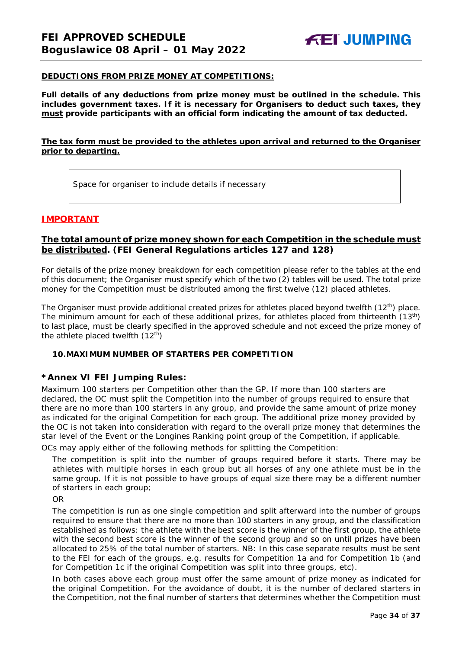#### **DEDUCTIONS FROM PRIZE MONEY AT COMPETITIONS:**

**Full details of any deductions from prize money must be outlined in the schedule. This includes government taxes. If it is necessary for Organisers to deduct such taxes, they must provide participants with an official form indicating the amount of tax deducted.** 

#### **The tax form must be provided to the athletes upon arrival and returned to the Organiser prior to departing.**

Space for organiser to include details if necessary

#### **IMPORTANT**

#### **The total amount of prize money shown for each Competition in the schedule must be distributed. (FEI General Regulations articles 127 and 128)**

For details of the prize money breakdown for each competition please refer to the tables at the end of this document; the Organiser must specify which of the two (2) tables will be used. The total prize money for the Competition must be distributed among the first twelve (12) placed athletes.

The Organiser must provide additional created prizes for athletes placed beyond twelfth (12<sup>th</sup>) place. The minimum amount for each of these additional prizes, for athletes placed from thirteenth (13<sup>th</sup>) to last place, must be clearly specified in the approved schedule and not exceed the prize money of the athlete placed twelfth  $(12<sup>th</sup>)$ 

#### <span id="page-33-0"></span>**10.MAXIMUM NUMBER OF STARTERS PER COMPETITION**

#### **\*Annex VI FEI Jumping Rules:**

Maximum 100 starters per Competition other than the GP. If more than 100 starters are declared, the OC must split the Competition into the number of groups required to ensure that there are no more than 100 starters in any group, and provide the same amount of prize money as indicated for the original Competition for each group. The additional prize money provided by the OC is not taken into consideration with regard to the overall prize money that determines the star level of the Event or the Longines Ranking point group of the Competition, if applicable.

OCs may apply either of the following methods for splitting the Competition:

The competition is split into the number of groups required before it starts. There may be athletes with multiple horses in each group but all horses of any one athlete must be in the same group. If it is not possible to have groups of equal size there may be a different number of starters in each group;

OR

The competition is run as one single competition and split afterward into the number of groups required to ensure that there are no more than 100 starters in any group, and the classification established as follows: the athlete with the best score is the winner of the first group, the athlete with the second best score is the winner of the second group and so on until prizes have been allocated to 25% of the total number of starters. *NB: In this case separate results must be sent to the FEI for each of the groups, e.g. results for Competition 1a and for Competition 1b (and for Competition 1c if the original Competition was split into three groups, etc).*

In both cases above each group must offer the same amount of prize money as indicated for the original Competition. For the avoidance of doubt, it is the number of declared starters in the Competition, not the final number of starters that determines whether the Competition must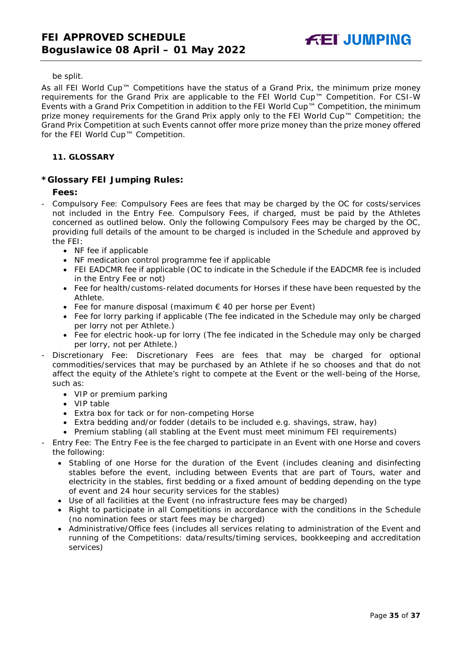be split.

As all FEI World Cup™ Competitions have the status of a Grand Prix, the minimum prize money requirements for the Grand Prix are applicable to the FEI World Cup™ Competition. For CSI-W Events with a Grand Prix Competition in addition to the FEI World Cup™ Competition, the minimum prize money requirements for the Grand Prix apply only to the FEI World Cup™ Competition; the Grand Prix Competition at such Events cannot offer more prize money than the prize money offered for the FEI World Cup™ Competition.

#### <span id="page-34-0"></span>**11. GLOSSARY**

#### **\*Glossary FEI Jumping Rules:**

#### **Fees:**

- Compulsory Fee: Compulsory Fees are fees that may be charged by the OC for costs/services not included in the Entry Fee. Compulsory Fees, if charged, must be paid by the Athletes concerned as outlined below. Only the following Compulsory Fees may be charged by the OC, providing full details of the amount to be charged is included in the Schedule and approved by the FEI:
	- NF fee if applicable
	- NF medication control programme fee if applicable
	- FEI EADCMR fee if applicable (OC to indicate in the Schedule if the EADCMR fee is included in the Entry Fee or not)
	- Fee for health/customs-related documents for Horses if these have been requested by the Athlete.
	- Fee for manure disposal (maximum € 40 per horse per Event)
	- Fee for lorry parking if applicable (The fee indicated in the Schedule may only be charged per lorry not per Athlete.)
	- Fee for electric hook-up for lorry (The fee indicated in the Schedule may only be charged per lorry, not per Athlete.)
- Discretionary Fee: Discretionary Fees are fees that may be charged for optional commodities/services that may be purchased by an Athlete if he so chooses and that do not affect the equity of the Athlete's right to compete at the Event or the well-being of the Horse, such as:
	- VIP or premium parking
	- VIP table
	- Extra box for tack or for non-competing Horse
	- Extra bedding and/or fodder (details to be included e.g. shavings, straw, hay)
	- Premium stabling (all stabling at the Event must meet minimum FEI requirements)
- Entry Fee: The Entry Fee is the fee charged to participate in an Event with one Horse and covers the following:
	- Stabling of one Horse for the duration of the Event (includes cleaning and disinfecting stables before the event, including between Events that are part of Tours, water and electricity in the stables, first bedding or a fixed amount of bedding depending on the type of event and 24 hour security services for the stables)
	- Use of all facilities at the Event (no infrastructure fees may be charged)
	- Right to participate in all Competitions in accordance with the conditions in the Schedule (no nomination fees or start fees may be charged)
	- Administrative/Office fees (includes all services relating to administration of the Event and running of the Competitions: data/results/timing services, bookkeeping and accreditation services)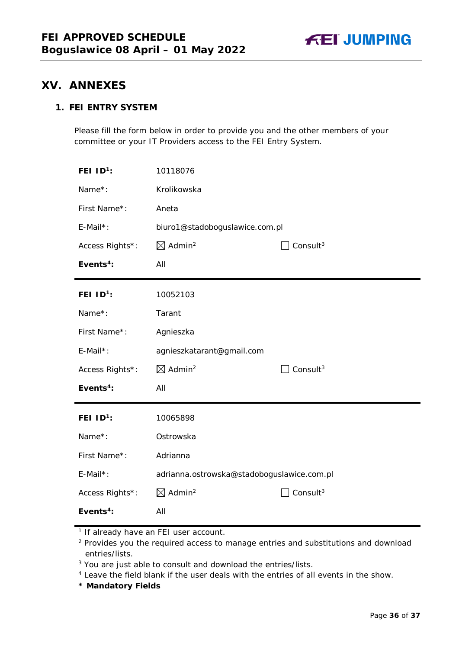

## <span id="page-35-0"></span>**XV. ANNEXES**

## **1. FEI ENTRY SYSTEM**

Please fill the form below in order to provide you and the other members of your committee or your IT Providers access to the FEI Entry System.

| FEI $ID^1$ :          | 10118076                                   |                      |  |
|-----------------------|--------------------------------------------|----------------------|--|
| Name*:                | Krolikowska                                |                      |  |
| First Name*:          | Aneta                                      |                      |  |
| $E$ -Mail*:           | biuro1@stadoboguslawice.com.pl             |                      |  |
| Access Rights*:       | $\boxtimes$ Admin <sup>2</sup>             | Consult <sup>3</sup> |  |
| Events <sup>4</sup> : | All                                        |                      |  |
| FEI $ID^1$ :          | 10052103                                   |                      |  |
| Name*:                | Tarant                                     |                      |  |
| First Name*:          | Agnieszka                                  |                      |  |
| $E$ -Mail*:           | agnieszkatarant@gmail.com                  |                      |  |
| Access Rights*:       | $\boxtimes$ Admin <sup>2</sup>             | Consult <sup>3</sup> |  |
| Events <sup>4</sup> : | All                                        |                      |  |
| FEI $ID1$ :           | 10065898                                   |                      |  |
| Name*:                | Ostrowska                                  |                      |  |
| First Name*:          | Adrianna                                   |                      |  |
| E-Mail*:              | adrianna.ostrowska@stadoboguslawice.com.pl |                      |  |
| Access Rights*:       | $\boxtimes$ Admin <sup>2</sup>             | Consult $3$          |  |
| Events <sup>4</sup> : | All                                        |                      |  |

**\* Mandatory Fields**

<sup>&</sup>lt;sup>1</sup> If already have an FEI user account.

<sup>&</sup>lt;sup>2</sup> Provides you the required access to manage entries and substitutions and download entries/lists.

<sup>&</sup>lt;sup>3</sup> You are just able to consult and download the entries/lists.

<sup>4</sup> Leave the field blank if the user deals with the entries of all events in the show.